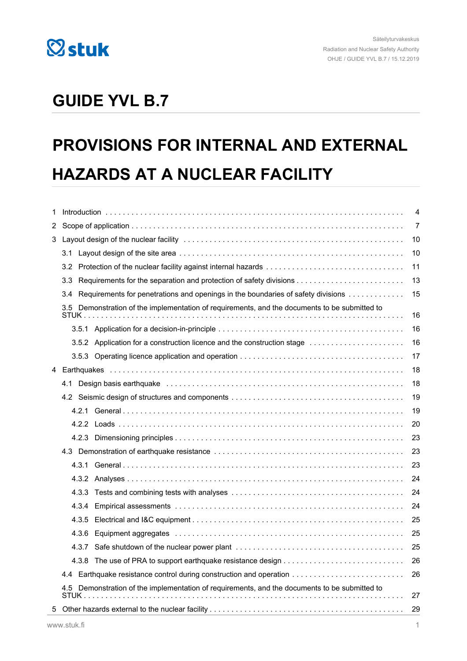

## **GUIDE YVL B.7**

# **PROVISIONS FOR INTERNAL AND EXTERNAL HAZARDS AT A NUCLEAR FACILITY**

| 1                                                                                                | 4                                                                                                                    |                                                                                        |    |  |
|--------------------------------------------------------------------------------------------------|----------------------------------------------------------------------------------------------------------------------|----------------------------------------------------------------------------------------|----|--|
| 2                                                                                                |                                                                                                                      |                                                                                        |    |  |
| 3                                                                                                |                                                                                                                      |                                                                                        |    |  |
|                                                                                                  | 3.1                                                                                                                  |                                                                                        | 10 |  |
|                                                                                                  | 3.2 <sub>2</sub>                                                                                                     |                                                                                        | 11 |  |
|                                                                                                  | 3.3                                                                                                                  |                                                                                        |    |  |
|                                                                                                  | 3.4                                                                                                                  | Requirements for penetrations and openings in the boundaries of safety divisions<br>15 |    |  |
|                                                                                                  | Demonstration of the implementation of requirements, and the documents to be submitted to<br>$3.5^{\circ}$<br>STUK . |                                                                                        | 16 |  |
|                                                                                                  |                                                                                                                      |                                                                                        | 16 |  |
|                                                                                                  |                                                                                                                      | 3.5.2 Application for a construction licence and the construction stage                | 16 |  |
|                                                                                                  |                                                                                                                      |                                                                                        | 17 |  |
| 4                                                                                                |                                                                                                                      |                                                                                        | 18 |  |
|                                                                                                  | 4.1                                                                                                                  |                                                                                        | 18 |  |
|                                                                                                  |                                                                                                                      |                                                                                        | 19 |  |
|                                                                                                  |                                                                                                                      |                                                                                        | 19 |  |
|                                                                                                  |                                                                                                                      |                                                                                        | 20 |  |
|                                                                                                  |                                                                                                                      |                                                                                        | 23 |  |
|                                                                                                  |                                                                                                                      |                                                                                        | 23 |  |
|                                                                                                  |                                                                                                                      |                                                                                        | 23 |  |
|                                                                                                  |                                                                                                                      |                                                                                        | 24 |  |
|                                                                                                  | 4.3.3                                                                                                                |                                                                                        | 24 |  |
|                                                                                                  | 4.3.4                                                                                                                |                                                                                        | 24 |  |
|                                                                                                  | 4.3.5                                                                                                                |                                                                                        | 25 |  |
|                                                                                                  | 4.3.6                                                                                                                |                                                                                        | 25 |  |
|                                                                                                  | 4.3.7                                                                                                                |                                                                                        | 25 |  |
|                                                                                                  |                                                                                                                      |                                                                                        | 26 |  |
|                                                                                                  | 4.4                                                                                                                  | Earthquake resistance control during construction and operation                        | 26 |  |
| Demonstration of the implementation of requirements, and the documents to be submitted to<br>4.5 |                                                                                                                      |                                                                                        | 27 |  |
| 5                                                                                                |                                                                                                                      |                                                                                        | 29 |  |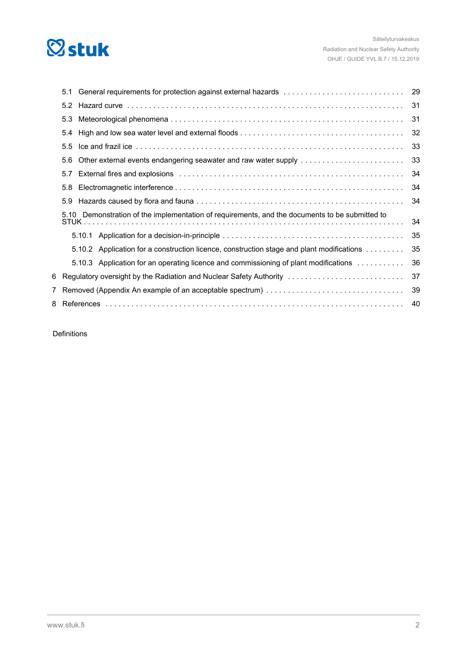# **Østuk**

| 5.1                                                                                            |                                                                                                                                                                                                                                | 29 |
|------------------------------------------------------------------------------------------------|--------------------------------------------------------------------------------------------------------------------------------------------------------------------------------------------------------------------------------|----|
| 5.2                                                                                            |                                                                                                                                                                                                                                | 31 |
| 5.3                                                                                            |                                                                                                                                                                                                                                | 31 |
| 5.4                                                                                            |                                                                                                                                                                                                                                | 32 |
| 5.5                                                                                            |                                                                                                                                                                                                                                | 33 |
| 5.6                                                                                            | Other external events endangering seawater and raw water supply                                                                                                                                                                | 33 |
| 5.7                                                                                            | External fires and explosions entertainment contains and all the statements of the statement of the statement of the statement of the statement of the statement of the statement of the statement of the statement of the sta | 34 |
| 5.8                                                                                            |                                                                                                                                                                                                                                | 34 |
| 5.9                                                                                            |                                                                                                                                                                                                                                | 34 |
| 5.10 Demonstration of the implementation of requirements, and the documents to be submitted to |                                                                                                                                                                                                                                |    |
|                                                                                                |                                                                                                                                                                                                                                | 35 |
|                                                                                                | 5.10.2 Application for a construction licence, construction stage and plant modifications                                                                                                                                      | 35 |
|                                                                                                | 5.10.3 Application for an operating licence and commissioning of plant modifications                                                                                                                                           | 36 |
|                                                                                                | 6 Regulatory oversight by the Radiation and Nuclear Safety Authority metables in the serve servers in the                                                                                                                      | 37 |
|                                                                                                | 7 Removed (Appendix An example of an acceptable spectrum)                                                                                                                                                                      | 39 |
|                                                                                                |                                                                                                                                                                                                                                | 40 |
|                                                                                                |                                                                                                                                                                                                                                |    |

Definitions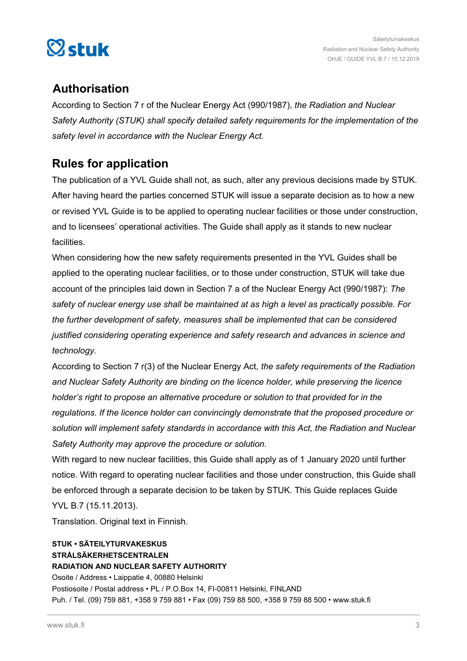

## **Authorisation**

According to Section 7 r of the Nuclear Energy Act (990/1987), *the Radiation and Nuclear Safety Authority (STUK) shall specify detailed safety requirements for the implementation of the safety level in accordance with the Nuclear Energy Act.*

## **Rules for application**

The publication of a YVL Guide shall not, as such, alter any previous decisions made by STUK. After having heard the parties concerned STUK will issue a separate decision as to how a new or revised YVL Guide is to be applied to operating nuclear facilities or those under construction, and to licensees' operational activities. The Guide shall apply as it stands to new nuclear facilities.

When considering how the new safety requirements presented in the YVL Guides shall be applied to the operating nuclear facilities, or to those under construction, STUK will take due account of the principles laid down in Section 7 a of the Nuclear Energy Act (990/1987): *The safety of nuclear energy use shall be maintained at as high a level as practically possible. For the further development of safety, measures shall be implemented that can be considered justified considering operating experience and safety research and advances in science and technology.*

According to Section 7 r(3) of the Nuclear Energy Act, *the safety requirements of the Radiation and Nuclear Safety Authority are binding on the licence holder, while preserving the licence holder's right to propose an alternative procedure or solution to that provided for in the regulations. If the licence holder can convincingly demonstrate that the proposed procedure or solution will implement safety standards in accordance with this Act, the Radiation and Nuclear Safety Authority may approve the procedure or solution.*

With regard to new nuclear facilities, this Guide shall apply as of 1 January 2020 until further notice. With regard to operating nuclear facilities and those under construction, this Guide shall be enforced through a separate decision to be taken by STUK. This Guide replaces Guide

YVL B.7 (15.11.2013).

Translation. Original text in Finnish.

#### **STUK • SÄTEILYTURVAKESKUS STRÅLSÄKERHETSCENTRALEN RADIATION AND NUCLEAR SAFETY AUTHORITY**

Osoite / Address • Laippatie 4, 00880 Helsinki Postiosoite / Postal address • PL / P.O.Box 14, FI-00811 Helsinki, FINLAND Puh. / Tel. (09) 759 881, +358 9 759 881 • Fax (09) 759 88 500, +358 9 759 88 500 •<www.stuk.fi>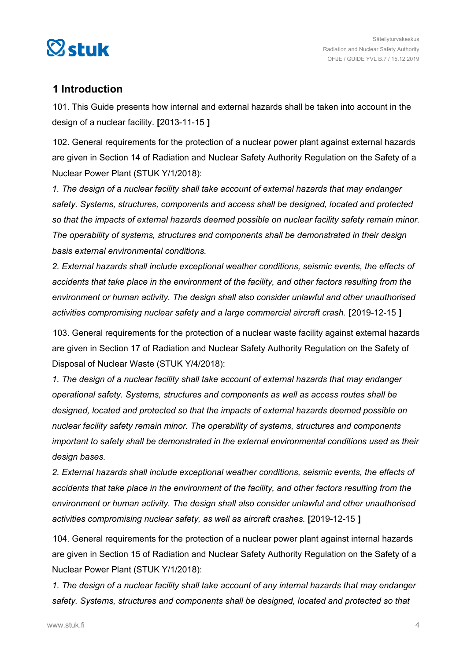<span id="page-3-0"></span>

## **1 Introduction**

101. This Guide presents how internal and external hazards shall be taken into account in the design of a nuclear facility. **[**2013-11-15 **]**

102. General requirements for the protection of a nuclear power plant against external hazards are given in Section 14 of Radiation and Nuclear Safety Authority Regulation on the Safety of a Nuclear Power Plant (STUK Y/1/2018):

*1. The design of a nuclear facility shall take account of external hazards that may endanger safety. Systems, structures, components and access shall be designed, located and protected so that the impacts of external hazards deemed possible on nuclear facility safety remain minor. The operability of systems, structures and components shall be demonstrated in their design basis external environmental conditions.*

*2. External hazards shall include exceptional weather conditions, seismic events, the effects of accidents that take place in the environment of the facility, and other factors resulting from the environment or human activity. The design shall also consider unlawful and other unauthorised activities compromising nuclear safety and a large commercial aircraft crash.* **[**2019-12-15 **]**

103. General requirements for the protection of a nuclear waste facility against external hazards are given in Section 17 of Radiation and Nuclear Safety Authority Regulation on the Safety of Disposal of Nuclear Waste (STUK Y/4/2018):

*1. The design of a nuclear facility shall take account of external hazards that may endanger operational safety. Systems, structures and components as well as access routes shall be designed, located and protected so that the impacts of external hazards deemed possible on nuclear facility safety remain minor. The operability of systems, structures and components important to safety shall be demonstrated in the external environmental conditions used as their design bases.*

*2. External hazards shall include exceptional weather conditions, seismic events, the effects of accidents that take place in the environment of the facility, and other factors resulting from the environment or human activity. The design shall also consider unlawful and other unauthorised activities compromising nuclear safety, as well as aircraft crashes.* **[**2019-12-15 **]**

104. General requirements for the protection of a nuclear power plant against internal hazards are given in Section 15 of Radiation and Nuclear Safety Authority Regulation on the Safety of a Nuclear Power Plant (STUK Y/1/2018):

*1. The design of a nuclear facility shall take account of any internal hazards that may endanger safety. Systems, structures and components shall be designed, located and protected so that*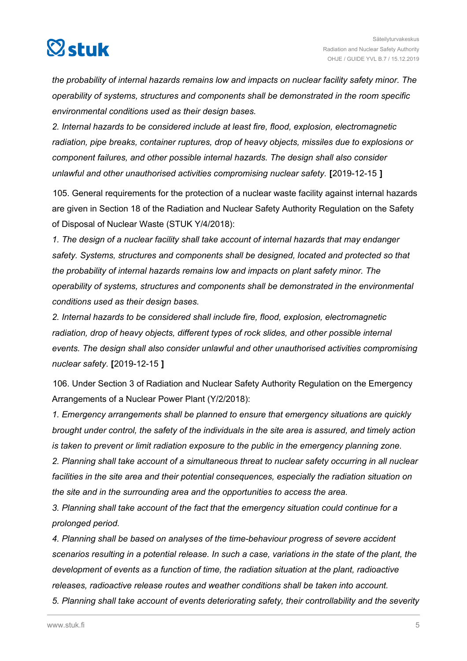

*the probability of internal hazards remains low and impacts on nuclear facility safety minor. The operability of systems, structures and components shall be demonstrated in the room specific environmental conditions used as their design bases.*

*2. Internal hazards to be considered include at least fire, flood, explosion, electromagnetic radiation, pipe breaks, container ruptures, drop of heavy objects, missiles due to explosions or component failures, and other possible internal hazards. The design shall also consider unlawful and other unauthorised activities compromising nuclear safety.* **[**2019-12-15 **]**

105. General requirements for the protection of a nuclear waste facility against internal hazards are given in Section 18 of the Radiation and Nuclear Safety Authority Regulation on the Safety of Disposal of Nuclear Waste (STUK Y/4/2018):

*1. The design of a nuclear facility shall take account of internal hazards that may endanger safety. Systems, structures and components shall be designed, located and protected so that the probability of internal hazards remains low and impacts on plant safety minor. The operability of systems, structures and components shall be demonstrated in the environmental conditions used as their design bases.*

*2. Internal hazards to be considered shall include fire, flood, explosion, electromagnetic radiation, drop of heavy objects, different types of rock slides, and other possible internal events. The design shall also consider unlawful and other unauthorised activities compromising nuclear safety.* **[**2019-12-15 **]**

106. Under Section 3 of Radiation and Nuclear Safety Authority Regulation on the Emergency Arrangements of a Nuclear Power Plant (Y/2/2018):

*1. Emergency arrangements shall be planned to ensure that emergency situations are quickly brought under control, the safety of the individuals in the site area is assured, and timely action is taken to prevent or limit radiation exposure to the public in the emergency planning zone.*

*2. Planning shall take account of a simultaneous threat to nuclear safety occurring in all nuclear facilities in the site area and their potential consequences, especially the radiation situation on the site and in the surrounding area and the opportunities to access the area.*

*3. Planning shall take account of the fact that the emergency situation could continue for a prolonged period.*

*4. Planning shall be based on analyses of the time-behaviour progress of severe accident scenarios resulting in a potential release. In such a case, variations in the state of the plant, the development of events as a function of time, the radiation situation at the plant, radioactive releases, radioactive release routes and weather conditions shall be taken into account. 5. Planning shall take account of events deteriorating safety, their controllability and the severity*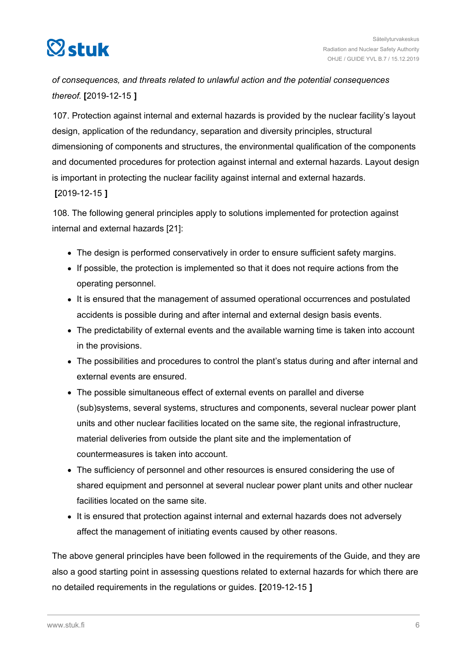

*of consequences, and threats related to unlawful action and the potential consequences thereof.* **[**2019-12-15 **]**

107. Protection against internal and external hazards is provided by the nuclear facility's layout design, application of the redundancy, separation and diversity principles, structural dimensioning of components and structures, the environmental qualification of the components and documented procedures for protection against internal and external hazards. Layout design is important in protecting the nuclear facility against internal and external hazards.

#### **[**2019-12-15 **]**

108. The following general principles apply to solutions implemented for protection against internal and external hazards [21]:

- The design is performed conservatively in order to ensure sufficient safety margins.
- If possible, the protection is implemented so that it does not require actions from the operating personnel.
- It is ensured that the management of assumed operational occurrences and postulated accidents is possible during and after internal and external design basis events.
- The predictability of external events and the available warning time is taken into account in the provisions.
- The possibilities and procedures to control the plant's status during and after internal and external events are ensured.
- The possible simultaneous effect of external events on parallel and diverse (sub)systems, several systems, structures and components, several nuclear power plant units and other nuclear facilities located on the same site, the regional infrastructure, material deliveries from outside the plant site and the implementation of countermeasures is taken into account.
- The sufficiency of personnel and other resources is ensured considering the use of shared equipment and personnel at several nuclear power plant units and other nuclear facilities located on the same site.
- It is ensured that protection against internal and external hazards does not adversely affect the management of initiating events caused by other reasons.

The above general principles have been followed in the requirements of the Guide, and they are also a good starting point in assessing questions related to external hazards for which there are no detailed requirements in the regulations or guides. **[**2019-12-15 **]**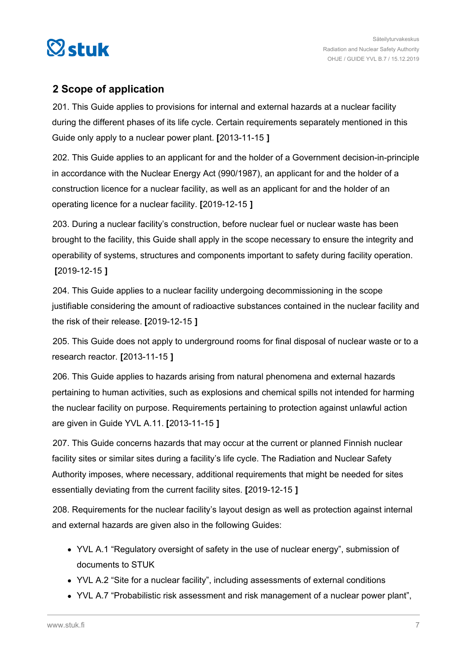<span id="page-6-0"></span>

## **2 Scope of application**

201. This Guide applies to provisions for internal and external hazards at a nuclear facility during the different phases of its life cycle. Certain requirements separately mentioned in this Guide only apply to a nuclear power plant. **[**2013-11-15 **]**

202. This Guide applies to an applicant for and the holder of a Government decision-in-principle in accordance with the Nuclear Energy Act (990/1987), an applicant for and the holder of a construction licence for a nuclear facility, as well as an applicant for and the holder of an operating licence for a nuclear facility. **[**2019-12-15 **]**

203. During a nuclear facility's construction, before nuclear fuel or nuclear waste has been brought to the facility, this Guide shall apply in the scope necessary to ensure the integrity and operability of systems, structures and components important to safety during facility operation. **[**2019-12-15 **]**

204. This Guide applies to a nuclear facility undergoing decommissioning in the scope justifiable considering the amount of radioactive substances contained in the nuclear facility and the risk of their release. **[**2019-12-15 **]**

205. This Guide does not apply to underground rooms for final disposal of nuclear waste or to a research reactor. **[**2013-11-15 **]**

206. This Guide applies to hazards arising from natural phenomena and external hazards pertaining to human activities, such as explosions and chemical spills not intended for harming the nuclear facility on purpose. Requirements pertaining to protection against unlawful action are given in Guide YVL A.11. **[**2013-11-15 **]**

207. This Guide concerns hazards that may occur at the current or planned Finnish nuclear facility sites or similar sites during a facility's life cycle. The Radiation and Nuclear Safety Authority imposes, where necessary, additional requirements that might be needed for sites essentially deviating from the current facility sites. **[**2019-12-15 **]**

208. Requirements for the nuclear facility's layout design as well as protection against internal and external hazards are given also in the following Guides:

- YVL A.1 "Regulatory oversight of safety in the use of nuclear energy", submission of documents to STUK
- YVL A.2 "Site for a nuclear facility", including assessments of external conditions
- YVL A.7 "Probabilistic risk assessment and risk management of a nuclear power plant",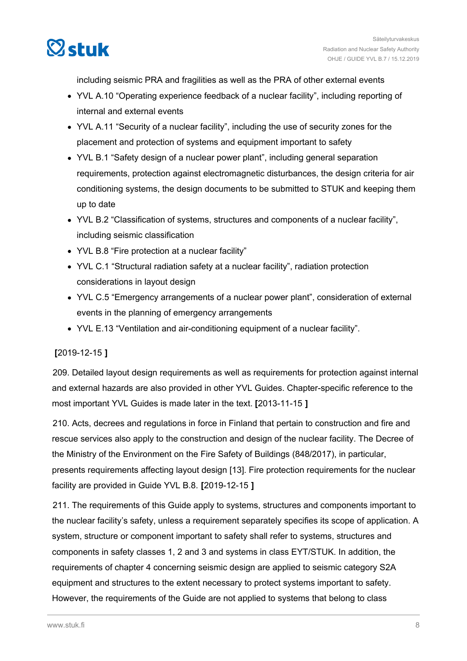

including seismic PRA and fragilities as well as the PRA of other external events

- YVL A.10 "Operating experience feedback of a nuclear facility", including reporting of internal and external events
- YVL A.11 "Security of a nuclear facility", including the use of security zones for the placement and protection of systems and equipment important to safety
- YVL B.1 "Safety design of a nuclear power plant", including general separation requirements, protection against electromagnetic disturbances, the design criteria for air conditioning systems, the design documents to be submitted to STUK and keeping them up to date
- YVL B.2 "Classification of systems, structures and components of a nuclear facility", including seismic classification
- YVL B.8 "Fire protection at a nuclear facility"
- YVL C.1 "Structural radiation safety at a nuclear facility", radiation protection considerations in layout design
- YVL C.5 "Emergency arrangements of a nuclear power plant", consideration of external events in the planning of emergency arrangements
- YVL E.13 "Ventilation and air-conditioning equipment of a nuclear facility".

#### **[**2019-12-15 **]**

209. Detailed layout design requirements as well as requirements for protection against internal and external hazards are also provided in other YVL Guides. Chapter-specific reference to the most important YVL Guides is made later in the text. **[**2013-11-15 **]**

210. Acts, decrees and regulations in force in Finland that pertain to construction and fire and rescue services also apply to the construction and design of the nuclear facility. The Decree of the Ministry of the Environment on the Fire Safety of Buildings (848/2017), in particular, presents requirements affecting layout design [13]. Fire protection requirements for the nuclear facility are provided in Guide YVL B.8. **[**2019-12-15 **]**

211. The requirements of this Guide apply to systems, structures and components important to the nuclear facility's safety, unless a requirement separately specifies its scope of application. A system, structure or component important to safety shall refer to systems, structures and components in safety classes 1, 2 and 3 and systems in class EYT/STUK. In addition, the requirements of chapter 4 concerning seismic design are applied to seismic category S2A equipment and structures to the extent necessary to protect systems important to safety. However, the requirements of the Guide are not applied to systems that belong to class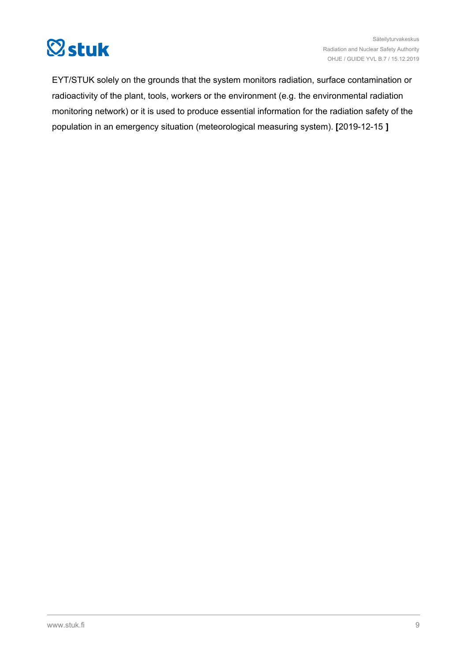

EYT/STUK solely on the grounds that the system monitors radiation, surface contamination or radioactivity of the plant, tools, workers or the environment (e.g. the environmental radiation monitoring network) or it is used to produce essential information for the radiation safety of the population in an emergency situation (meteorological measuring system). **[**2019-12-15 **]**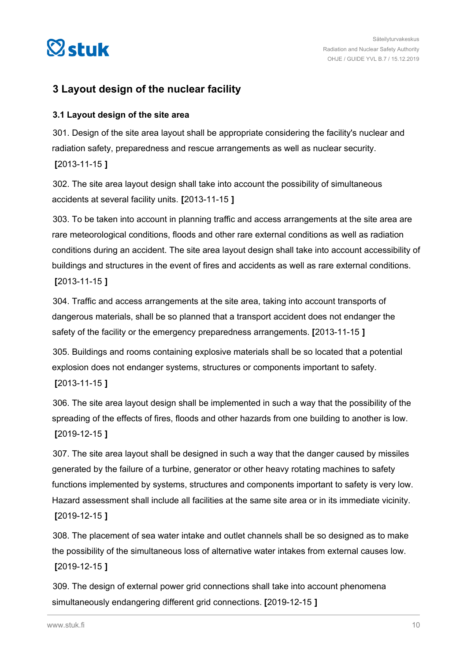<span id="page-9-0"></span>

## **3 Layout design of the nuclear facility**

#### **3.1 Layout design of the site area**

301. Design of the site area layout shall be appropriate considering the facility's nuclear and radiation safety, preparedness and rescue arrangements as well as nuclear security. **[**2013-11-15 **]**

302. The site area layout design shall take into account the possibility of simultaneous accidents at several facility units. **[**2013-11-15 **]**

303. To be taken into account in planning traffic and access arrangements at the site area are rare meteorological conditions, floods and other rare external conditions as well as radiation conditions during an accident. The site area layout design shall take into account accessibility of buildings and structures in the event of fires and accidents as well as rare external conditions. **[**2013-11-15 **]**

304. Traffic and access arrangements at the site area, taking into account transports of dangerous materials, shall be so planned that a transport accident does not endanger the safety of the facility or the emergency preparedness arrangements. **[**2013-11-15 **]**

305. Buildings and rooms containing explosive materials shall be so located that a potential explosion does not endanger systems, structures or components important to safety. **[**2013-11-15 **]**

306. The site area layout design shall be implemented in such a way that the possibility of the spreading of the effects of fires, floods and other hazards from one building to another is low. **[**2019-12-15 **]**

307. The site area layout shall be designed in such a way that the danger caused by missiles generated by the failure of a turbine, generator or other heavy rotating machines to safety functions implemented by systems, structures and components important to safety is very low. Hazard assessment shall include all facilities at the same site area or in its immediate vicinity. **[**2019-12-15 **]**

308. The placement of sea water intake and outlet channels shall be so designed as to make the possibility of the simultaneous loss of alternative water intakes from external causes low. **[**2019-12-15 **]**

309. The design of external power grid connections shall take into account phenomena simultaneously endangering different grid connections. **[**2019-12-15 **]**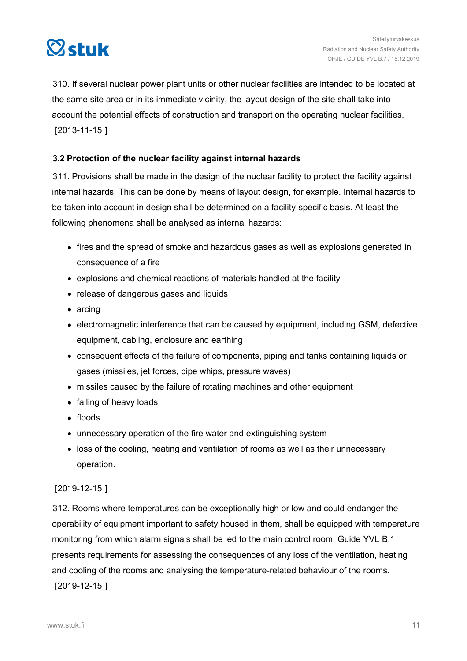<span id="page-10-0"></span>

310. If several nuclear power plant units or other nuclear facilities are intended to be located at the same site area or in its immediate vicinity, the layout design of the site shall take into account the potential effects of construction and transport on the operating nuclear facilities. **[**2013-11-15 **]**

#### **3.2 Protection of the nuclear facility against internal hazards**

311. Provisions shall be made in the design of the nuclear facility to protect the facility against internal hazards. This can be done by means of layout design, for example. Internal hazards to be taken into account in design shall be determined on a facility-specific basis. At least the following phenomena shall be analysed as internal hazards:

- fires and the spread of smoke and hazardous gases as well as explosions generated in consequence of a fire
- explosions and chemical reactions of materials handled at the facility
- release of dangerous gases and liquids
- arcing
- electromagnetic interference that can be caused by equipment, including GSM, defective equipment, cabling, enclosure and earthing
- consequent effects of the failure of components, piping and tanks containing liquids or gases (missiles, jet forces, pipe whips, pressure waves)
- missiles caused by the failure of rotating machines and other equipment
- falling of heavy loads
- floods
- unnecessary operation of the fire water and extinguishing system
- loss of the cooling, heating and ventilation of rooms as well as their unnecessary operation.

#### **[**2019-12-15 **]**

312. Rooms where temperatures can be exceptionally high or low and could endanger the operability of equipment important to safety housed in them, shall be equipped with temperature monitoring from which alarm signals shall be led to the main control room. Guide YVL B.1 presents requirements for assessing the consequences of any loss of the ventilation, heating and cooling of the rooms and analysing the temperature-related behaviour of the rooms. **[**2019-12-15 **]**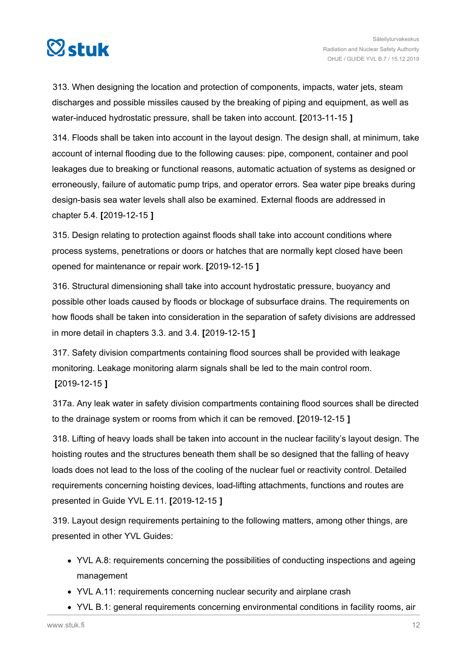

313. When designing the location and protection of components, impacts, water jets, steam discharges and possible missiles caused by the breaking of piping and equipment, as well as water-induced hydrostatic pressure, shall be taken into account. **[**2013-11-15 **]**

314. Floods shall be taken into account in the layout design. The design shall, at minimum, take account of internal flooding due to the following causes: pipe, component, container and pool leakages due to breaking or functional reasons, automatic actuation of systems as designed or erroneously, failure of automatic pump trips, and operator errors. Sea water pipe breaks during design-basis sea water levels shall also be examined. External floods are addressed in chapter 5.4. **[**2019-12-15 **]**

315. Design relating to protection against floods shall take into account conditions where process systems, penetrations or doors or hatches that are normally kept closed have been opened for maintenance or repair work. **[**2019-12-15 **]**

316. Structural dimensioning shall take into account hydrostatic pressure, buoyancy and possible other loads caused by floods or blockage of subsurface drains. The requirements on how floods shall be taken into consideration in the separation of safety divisions are addressed in more detail in chapters 3.3. and 3.4. **[**2019-12-15 **]**

317. Safety division compartments containing flood sources shall be provided with leakage monitoring. Leakage monitoring alarm signals shall be led to the main control room. **[**2019-12-15 **]**

317a. Any leak water in safety division compartments containing flood sources shall be directed to the drainage system or rooms from which it can be removed. **[**2019-12-15 **]**

318. Lifting of heavy loads shall be taken into account in the nuclear facility's layout design. The hoisting routes and the structures beneath them shall be so designed that the falling of heavy loads does not lead to the loss of the cooling of the nuclear fuel or reactivity control. Detailed requirements concerning hoisting devices, load-lifting attachments, functions and routes are presented in Guide YVL E.11. **[**2019-12-15 **]**

319. Layout design requirements pertaining to the following matters, among other things, are presented in other YVL Guides:

- YVL A.8: requirements concerning the possibilities of conducting inspections and ageing management
- YVL A.11: requirements concerning nuclear security and airplane crash
- YVL B.1: general requirements concerning environmental conditions in facility rooms, air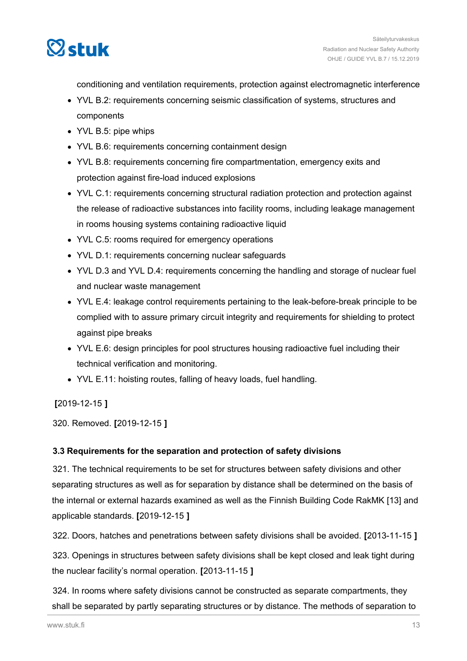<span id="page-12-0"></span>

conditioning and ventilation requirements, protection against electromagnetic interference

- YVL B.2: requirements concerning seismic classification of systems, structures and components
- YVL B.5: pipe whips
- YVL B.6: requirements concerning containment design
- YVL B.8: requirements concerning fire compartmentation, emergency exits and protection against fire-load induced explosions
- YVL C.1: requirements concerning structural radiation protection and protection against the release of radioactive substances into facility rooms, including leakage management in rooms housing systems containing radioactive liquid
- YVL C.5: rooms required for emergency operations
- YVL D.1: requirements concerning nuclear safeguards
- YVL D.3 and YVL D.4: requirements concerning the handling and storage of nuclear fuel and nuclear waste management
- YVL E.4: leakage control requirements pertaining to the leak-before-break principle to be complied with to assure primary circuit integrity and requirements for shielding to protect against pipe breaks
- YVL E.6: design principles for pool structures housing radioactive fuel including their technical verification and monitoring.
- YVL E.11: hoisting routes, falling of heavy loads, fuel handling.

#### **[**2019-12-15 **]**

320. Removed. **[**2019-12-15 **]**

#### **3.3 Requirements for the separation and protection of safety divisions**

321. The technical requirements to be set for structures between safety divisions and other separating structures as well as for separation by distance shall be determined on the basis of the internal or external hazards examined as well as the Finnish Building Code RakMK [13] and applicable standards. **[**2019-12-15 **]**

322. Doors, hatches and penetrations between safety divisions shall be avoided. **[**2013-11-15 **]**

323. Openings in structures between safety divisions shall be kept closed and leak tight during the nuclear facility's normal operation. **[**2013-11-15 **]**

324. In rooms where safety divisions cannot be constructed as separate compartments, they shall be separated by partly separating structures or by distance. The methods of separation to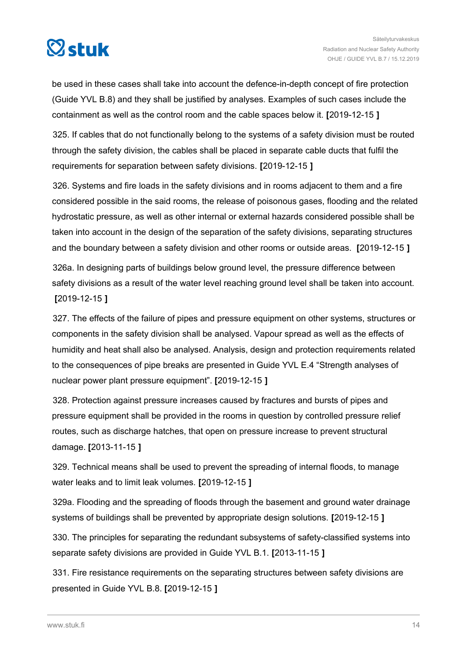

be used in these cases shall take into account the defence-in-depth concept of fire protection (Guide YVL B.8) and they shall be justified by analyses. Examples of such cases include the containment as well as the control room and the cable spaces below it. **[**2019-12-15 **]**

325. If cables that do not functionally belong to the systems of a safety division must be routed through the safety division, the cables shall be placed in separate cable ducts that fulfil the requirements for separation between safety divisions. **[**2019-12-15 **]**

326. Systems and fire loads in the safety divisions and in rooms adjacent to them and a fire considered possible in the said rooms, the release of poisonous gases, flooding and the related hydrostatic pressure, as well as other internal or external hazards considered possible shall be taken into account in the design of the separation of the safety divisions, separating structures and the boundary between a safety division and other rooms or outside areas. **[**2019-12-15 **]**

326a. In designing parts of buildings below ground level, the pressure difference between safety divisions as a result of the water level reaching ground level shall be taken into account. **[**2019-12-15 **]**

327. The effects of the failure of pipes and pressure equipment on other systems, structures or components in the safety division shall be analysed. Vapour spread as well as the effects of humidity and heat shall also be analysed. Analysis, design and protection requirements related to the consequences of pipe breaks are presented in Guide YVL E.4 "Strength analyses of nuclear power plant pressure equipment". **[**2019-12-15 **]**

328. Protection against pressure increases caused by fractures and bursts of pipes and pressure equipment shall be provided in the rooms in question by controlled pressure relief routes, such as discharge hatches, that open on pressure increase to prevent structural damage. **[**2013-11-15 **]**

329. Technical means shall be used to prevent the spreading of internal floods, to manage water leaks and to limit leak volumes. **[**2019-12-15 **]**

329a. Flooding and the spreading of floods through the basement and ground water drainage systems of buildings shall be prevented by appropriate design solutions. **[**2019-12-15 **]**

330. The principles for separating the redundant subsystems of safety-classified systems into separate safety divisions are provided in Guide YVL B.1. **[**2013-11-15 **]**

331. Fire resistance requirements on the separating structures between safety divisions are presented in Guide YVL B.8. **[**2019-12-15 **]**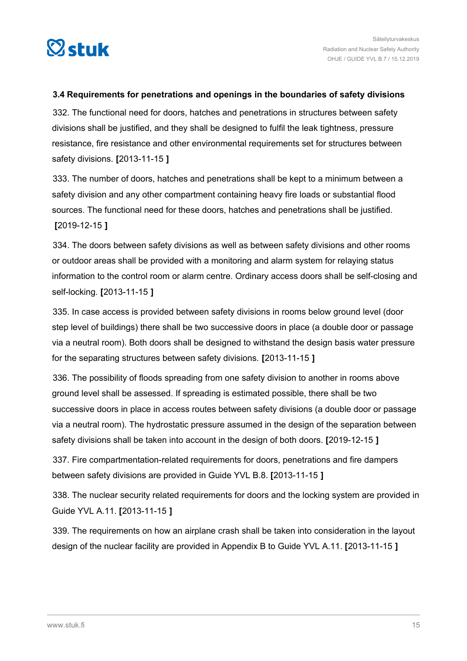<span id="page-14-0"></span>

#### **3.4 Requirements for penetrations and openings in the boundaries of safety divisions**

332. The functional need for doors, hatches and penetrations in structures between safety divisions shall be justified, and they shall be designed to fulfil the leak tightness, pressure resistance, fire resistance and other environmental requirements set for structures between safety divisions. **[**2013-11-15 **]**

333. The number of doors, hatches and penetrations shall be kept to a minimum between a safety division and any other compartment containing heavy fire loads or substantial flood sources. The functional need for these doors, hatches and penetrations shall be justified. **[**2019-12-15 **]**

334. The doors between safety divisions as well as between safety divisions and other rooms or outdoor areas shall be provided with a monitoring and alarm system for relaying status information to the control room or alarm centre. Ordinary access doors shall be self-closing and self-locking. **[**2013-11-15 **]**

335. In case access is provided between safety divisions in rooms below ground level (door step level of buildings) there shall be two successive doors in place (a double door or passage via a neutral room). Both doors shall be designed to withstand the design basis water pressure for the separating structures between safety divisions. **[**2013-11-15 **]**

336. The possibility of floods spreading from one safety division to another in rooms above ground level shall be assessed. If spreading is estimated possible, there shall be two successive doors in place in access routes between safety divisions (a double door or passage via a neutral room). The hydrostatic pressure assumed in the design of the separation between safety divisions shall be taken into account in the design of both doors. **[**2019-12-15 **]**

337. Fire compartmentation-related requirements for doors, penetrations and fire dampers between safety divisions are provided in Guide YVL B.8. **[**2013-11-15 **]**

338. The nuclear security related requirements for doors and the locking system are provided in Guide YVL A.11. **[**2013-11-15 **]**

339. The requirements on how an airplane crash shall be taken into consideration in the layout design of the nuclear facility are provided in Appendix B to Guide YVL A.11. **[**2013-11-15 **]**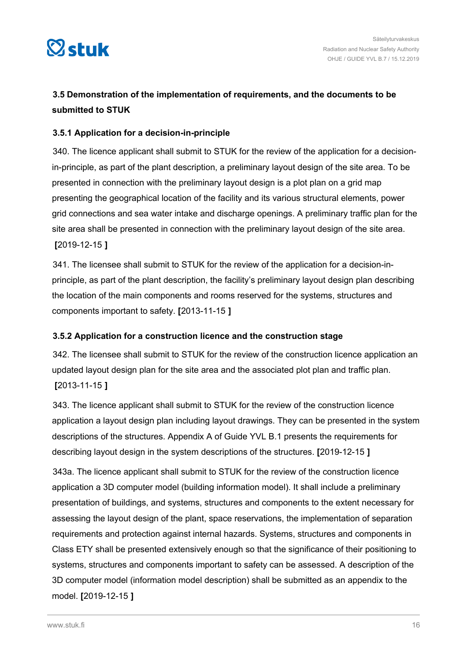<span id="page-15-0"></span>

## **3.5 Demonstration of the implementation of requirements, and the documents to be submitted to STUK**

#### **3.5.1 Application for a decision-in-principle**

340. The licence applicant shall submit to STUK for the review of the application for a decisionin-principle, as part of the plant description, a preliminary layout design of the site area. To be presented in connection with the preliminary layout design is a plot plan on a grid map presenting the geographical location of the facility and its various structural elements, power grid connections and sea water intake and discharge openings. A preliminary traffic plan for the site area shall be presented in connection with the preliminary layout design of the site area. **[**2019-12-15 **]**

341. The licensee shall submit to STUK for the review of the application for a decision-inprinciple, as part of the plant description, the facility's preliminary layout design plan describing the location of the main components and rooms reserved for the systems, structures and components important to safety. **[**2013-11-15 **]**

#### **3.5.2 Application for a construction licence and the construction stage**

342. The licensee shall submit to STUK for the review of the construction licence application an updated layout design plan for the site area and the associated plot plan and traffic plan. **[**2013-11-15 **]**

343. The licence applicant shall submit to STUK for the review of the construction licence application a layout design plan including layout drawings. They can be presented in the system descriptions of the structures. Appendix A of Guide YVL B.1 presents the requirements for describing layout design in the system descriptions of the structures. **[**2019-12-15 **]**

343a. The licence applicant shall submit to STUK for the review of the construction licence application a 3D computer model (building information model). It shall include a preliminary presentation of buildings, and systems, structures and components to the extent necessary for assessing the layout design of the plant, space reservations, the implementation of separation requirements and protection against internal hazards. Systems, structures and components in Class ETY shall be presented extensively enough so that the significance of their positioning to systems, structures and components important to safety can be assessed. A description of the 3D computer model (information model description) shall be submitted as an appendix to the model. **[**2019-12-15 **]**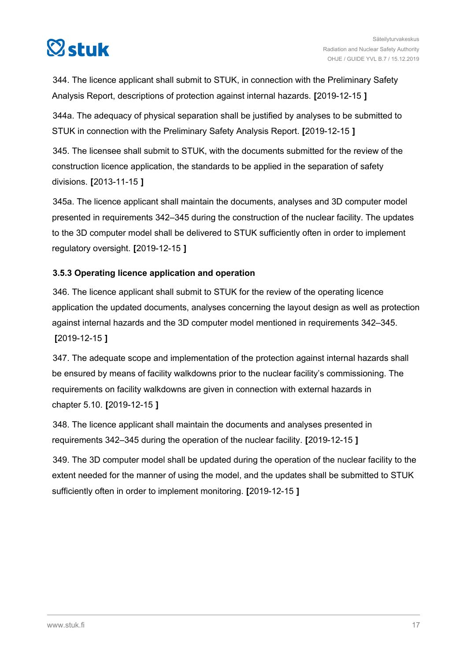<span id="page-16-0"></span>

344. The licence applicant shall submit to STUK, in connection with the Preliminary Safety Analysis Report, descriptions of protection against internal hazards. **[**2019-12-15 **]**

344a. The adequacy of physical separation shall be justified by analyses to be submitted to STUK in connection with the Preliminary Safety Analysis Report. **[**2019-12-15 **]**

345. The licensee shall submit to STUK, with the documents submitted for the review of the construction licence application, the standards to be applied in the separation of safety divisions. **[**2013-11-15 **]**

345a. The licence applicant shall maintain the documents, analyses and 3D computer model presented in requirements 342–345 during the construction of the nuclear facility. The updates to the 3D computer model shall be delivered to STUK sufficiently often in order to implement regulatory oversight. **[**2019-12-15 **]**

#### **3.5.3 Operating licence application and operation**

346. The licence applicant shall submit to STUK for the review of the operating licence application the updated documents, analyses concerning the layout design as well as protection against internal hazards and the 3D computer model mentioned in requirements 342–345. **[**2019-12-15 **]**

347. The adequate scope and implementation of the protection against internal hazards shall be ensured by means of facility walkdowns prior to the nuclear facility's commissioning. The requirements on facility walkdowns are given in connection with external hazards in chapter 5.10. **[**2019-12-15 **]**

348. The licence applicant shall maintain the documents and analyses presented in requirements 342–345 during the operation of the nuclear facility. **[**2019-12-15 **]**

349. The 3D computer model shall be updated during the operation of the nuclear facility to the extent needed for the manner of using the model, and the updates shall be submitted to STUK sufficiently often in order to implement monitoring. **[**2019-12-15 **]**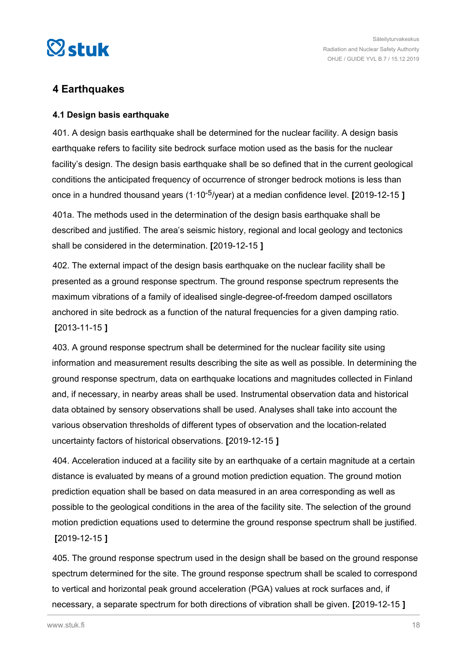<span id="page-17-0"></span>

## **4 Earthquakes**

#### **4.1 Design basis earthquake**

401. A design basis earthquake shall be determined for the nuclear facility. A design basis earthquake refers to facility site bedrock surface motion used as the basis for the nuclear facility's design. The design basis earthquake shall be so defined that in the current geological conditions the anticipated frequency of occurrence of stronger bedrock motions is less than once in a hundred thousand years (1∙10-5/year) at a median confidence level. **[**2019-12-15 **]**

401a. The methods used in the determination of the design basis earthquake shall be described and justified. The area's seismic history, regional and local geology and tectonics shall be considered in the determination. **[**2019-12-15 **]**

402. The external impact of the design basis earthquake on the nuclear facility shall be presented as a ground response spectrum. The ground response spectrum represents the maximum vibrations of a family of idealised single-degree-of-freedom damped oscillators anchored in site bedrock as a function of the natural frequencies for a given damping ratio. **[**2013-11-15 **]**

403. A ground response spectrum shall be determined for the nuclear facility site using information and measurement results describing the site as well as possible. In determining the ground response spectrum, data on earthquake locations and magnitudes collected in Finland and, if necessary, in nearby areas shall be used. Instrumental observation data and historical data obtained by sensory observations shall be used. Analyses shall take into account the various observation thresholds of different types of observation and the location-related uncertainty factors of historical observations. **[**2019-12-15 **]**

404. Acceleration induced at a facility site by an earthquake of a certain magnitude at a certain distance is evaluated by means of a ground motion prediction equation. The ground motion prediction equation shall be based on data measured in an area corresponding as well as possible to the geological conditions in the area of the facility site. The selection of the ground motion prediction equations used to determine the ground response spectrum shall be justified. **[**2019-12-15 **]**

405. The ground response spectrum used in the design shall be based on the ground response spectrum determined for the site. The ground response spectrum shall be scaled to correspond to vertical and horizontal peak ground acceleration (PGA) values at rock surfaces and, if necessary, a separate spectrum for both directions of vibration shall be given. **[**2019-12-15 **]**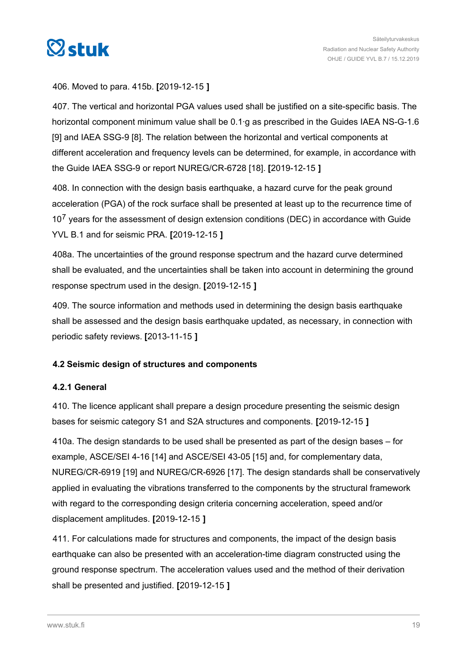<span id="page-18-0"></span>

#### 406. Moved to para. 415b. **[**2019-12-15 **]**

407. The vertical and horizontal PGA values used shall be justified on a site-specific basis. The horizontal component minimum value shall be 0.1∙g as prescribed in the Guides IAEA NS-G-1.6 [9] and IAEA SSG-9 [8]. The relation between the horizontal and vertical components at different acceleration and frequency levels can be determined, for example, in accordance with the Guide IAEA SSG-9 or report NUREG/CR-6728 [18]. **[**2019-12-15 **]**

408. In connection with the design basis earthquake, a hazard curve for the peak ground acceleration (PGA) of the rock surface shall be presented at least up to the recurrence time of  $10<sup>7</sup>$  years for the assessment of design extension conditions (DEC) in accordance with Guide YVL B.1 and for seismic PRA. **[**2019-12-15 **]**

408a. The uncertainties of the ground response spectrum and the hazard curve determined shall be evaluated, and the uncertainties shall be taken into account in determining the ground response spectrum used in the design. **[**2019-12-15 **]**

409. The source information and methods used in determining the design basis earthquake shall be assessed and the design basis earthquake updated, as necessary, in connection with periodic safety reviews. **[**2013-11-15 **]**

#### **4.2 Seismic design of structures and components**

#### **4.2.1 General**

410. The licence applicant shall prepare a design procedure presenting the seismic design bases for seismic category S1 and S2A structures and components. **[**2019-12-15 **]**

410a. The design standards to be used shall be presented as part of the design bases – for example, ASCE/SEI 4-16 [14] and ASCE/SEI 43-05 [15] and, for complementary data, NUREG/CR-6919 [19] and NUREG/CR-6926 [17]. The design standards shall be conservatively applied in evaluating the vibrations transferred to the components by the structural framework with regard to the corresponding design criteria concerning acceleration, speed and/or displacement amplitudes. **[**2019-12-15 **]**

411. For calculations made for structures and components, the impact of the design basis earthquake can also be presented with an acceleration-time diagram constructed using the ground response spectrum. The acceleration values used and the method of their derivation shall be presented and justified. **[**2019-12-15 **]**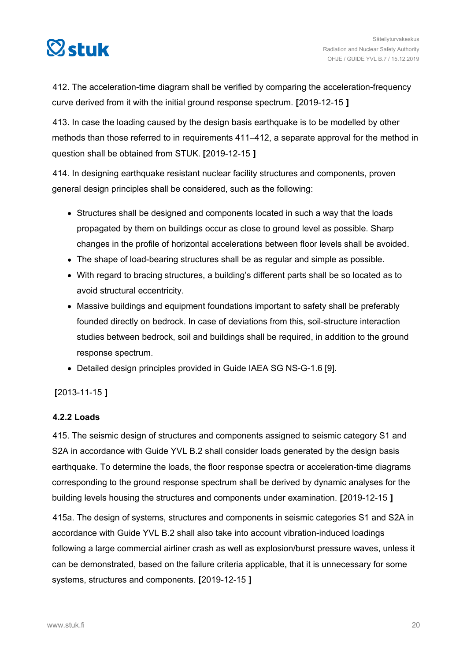<span id="page-19-0"></span>

412. The acceleration-time diagram shall be verified by comparing the acceleration-frequency curve derived from it with the initial ground response spectrum. **[**2019-12-15 **]**

413. In case the loading caused by the design basis earthquake is to be modelled by other methods than those referred to in requirements 411–412, a separate approval for the method in question shall be obtained from STUK. **[**2019-12-15 **]**

414. In designing earthquake resistant nuclear facility structures and components, proven general design principles shall be considered, such as the following:

- Structures shall be designed and components located in such a way that the loads propagated by them on buildings occur as close to ground level as possible. Sharp changes in the profile of horizontal accelerations between floor levels shall be avoided.
- The shape of load-bearing structures shall be as regular and simple as possible.
- With regard to bracing structures, a building's different parts shall be so located as to avoid structural eccentricity.
- Massive buildings and equipment foundations important to safety shall be preferably founded directly on bedrock. In case of deviations from this, soil-structure interaction studies between bedrock, soil and buildings shall be required, in addition to the ground response spectrum.
- Detailed design principles provided in Guide IAEA SG NS-G-1.6 [9].

#### **[**2013-11-15 **]**

#### **4.2.2 Loads**

415. The seismic design of structures and components assigned to seismic category S1 and S2A in accordance with Guide YVL B.2 shall consider loads generated by the design basis earthquake. To determine the loads, the floor response spectra or acceleration-time diagrams corresponding to the ground response spectrum shall be derived by dynamic analyses for the building levels housing the structures and components under examination. **[**2019-12-15 **]**

415a. The design of systems, structures and components in seismic categories S1 and S2A in accordance with Guide YVL B.2 shall also take into account vibration-induced loadings following a large commercial airliner crash as well as explosion/burst pressure waves, unless it can be demonstrated, based on the failure criteria applicable, that it is unnecessary for some systems, structures and components. **[**2019-12-15 **]**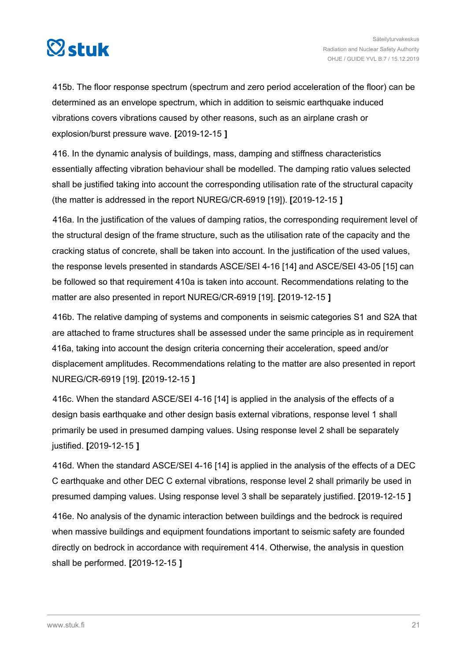

415b. The floor response spectrum (spectrum and zero period acceleration of the floor) can be determined as an envelope spectrum, which in addition to seismic earthquake induced vibrations covers vibrations caused by other reasons, such as an airplane crash or explosion/burst pressure wave. **[**2019-12-15 **]**

416. In the dynamic analysis of buildings, mass, damping and stiffness characteristics essentially affecting vibration behaviour shall be modelled. The damping ratio values selected shall be justified taking into account the corresponding utilisation rate of the structural capacity (the matter is addressed in the report NUREG/CR-6919 [19]). **[**2019-12-15 **]**

416a. In the justification of the values of damping ratios, the corresponding requirement level of the structural design of the frame structure, such as the utilisation rate of the capacity and the cracking status of concrete, shall be taken into account. In the justification of the used values, the response levels presented in standards ASCE/SEI 4-16 [14] and ASCE/SEI 43-05 [15] can be followed so that requirement 410a is taken into account. Recommendations relating to the matter are also presented in report NUREG/CR-6919 [19]. **[**2019-12-15 **]**

416b. The relative damping of systems and components in seismic categories S1 and S2A that are attached to frame structures shall be assessed under the same principle as in requirement 416a, taking into account the design criteria concerning their acceleration, speed and/or displacement amplitudes. Recommendations relating to the matter are also presented in report NUREG/CR-6919 [19]. **[**2019-12-15 **]**

416c. When the standard ASCE/SEI 4-16 [14] is applied in the analysis of the effects of a design basis earthquake and other design basis external vibrations, response level 1 shall primarily be used in presumed damping values. Using response level 2 shall be separately justified. **[**2019-12-15 **]**

416d. When the standard ASCE/SEI 4-16 [14] is applied in the analysis of the effects of a DEC C earthquake and other DEC C external vibrations, response level 2 shall primarily be used in presumed damping values. Using response level 3 shall be separately justified. **[**2019-12-15 **]**

416e. No analysis of the dynamic interaction between buildings and the bedrock is required when massive buildings and equipment foundations important to seismic safety are founded directly on bedrock in accordance with requirement 414. Otherwise, the analysis in question shall be performed. **[**2019-12-15 **]**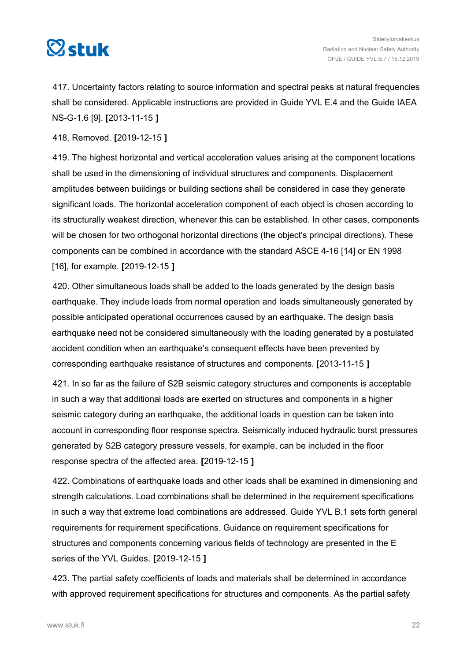

417. Uncertainty factors relating to source information and spectral peaks at natural frequencies shall be considered. Applicable instructions are provided in Guide YVL E.4 and the Guide IAEA NS-G-1.6 [9]. **[**2013-11-15 **]**

418. Removed. **[**2019-12-15 **]**

419. The highest horizontal and vertical acceleration values arising at the component locations shall be used in the dimensioning of individual structures and components. Displacement amplitudes between buildings or building sections shall be considered in case they generate significant loads. The horizontal acceleration component of each object is chosen according to its structurally weakest direction, whenever this can be established. In other cases, components will be chosen for two orthogonal horizontal directions (the object's principal directions). These components can be combined in accordance with the standard ASCE 4-16 [14] or EN 1998 [16], for example. **[**2019-12-15 **]**

420. Other simultaneous loads shall be added to the loads generated by the design basis earthquake. They include loads from normal operation and loads simultaneously generated by possible anticipated operational occurrences caused by an earthquake. The design basis earthquake need not be considered simultaneously with the loading generated by a postulated accident condition when an earthquake's consequent effects have been prevented by corresponding earthquake resistance of structures and components. **[**2013-11-15 **]**

421. In so far as the failure of S2B seismic category structures and components is acceptable in such a way that additional loads are exerted on structures and components in a higher seismic category during an earthquake, the additional loads in question can be taken into account in corresponding floor response spectra. Seismically induced hydraulic burst pressures generated by S2B category pressure vessels, for example, can be included in the floor response spectra of the affected area. **[**2019-12-15 **]**

422. Combinations of earthquake loads and other loads shall be examined in dimensioning and strength calculations. Load combinations shall be determined in the requirement specifications in such a way that extreme load combinations are addressed. Guide YVL B.1 sets forth general requirements for requirement specifications. Guidance on requirement specifications for structures and components concerning various fields of technology are presented in the E series of the YVL Guides. **[**2019-12-15 **]**

423. The partial safety coefficients of loads and materials shall be determined in accordance with approved requirement specifications for structures and components. As the partial safety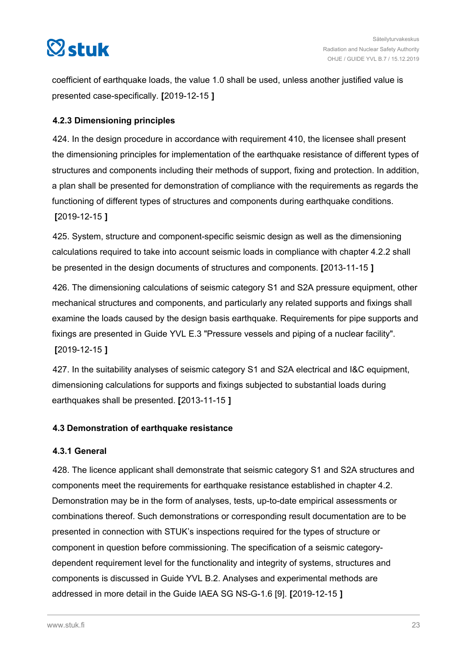<span id="page-22-0"></span>

coefficient of earthquake loads, the value 1.0 shall be used, unless another justified value is presented case-specifically. **[**2019-12-15 **]**

#### **4.2.3 Dimensioning principles**

424. In the design procedure in accordance with requirement 410, the licensee shall present the dimensioning principles for implementation of the earthquake resistance of different types of structures and components including their methods of support, fixing and protection. In addition, a plan shall be presented for demonstration of compliance with the requirements as regards the functioning of different types of structures and components during earthquake conditions. **[**2019-12-15 **]**

425. System, structure and component-specific seismic design as well as the dimensioning calculations required to take into account seismic loads in compliance with chapter 4.2.2 shall be presented in the design documents of structures and components. **[**2013-11-15 **]**

426. The dimensioning calculations of seismic category S1 and S2A pressure equipment, other mechanical structures and components, and particularly any related supports and fixings shall examine the loads caused by the design basis earthquake. Requirements for pipe supports and fixings are presented in Guide YVL E.3 "Pressure vessels and piping of a nuclear facility". **[**2019-12-15 **]**

427. In the suitability analyses of seismic category S1 and S2A electrical and I&C equipment, dimensioning calculations for supports and fixings subjected to substantial loads during earthquakes shall be presented. **[**2013-11-15 **]**

#### **4.3 Demonstration of earthquake resistance**

#### **4.3.1 General**

428. The licence applicant shall demonstrate that seismic category S1 and S2A structures and components meet the requirements for earthquake resistance established in chapter 4.2. Demonstration may be in the form of analyses, tests, up-to-date empirical assessments or combinations thereof. Such demonstrations or corresponding result documentation are to be presented in connection with STUK's inspections required for the types of structure or component in question before commissioning. The specification of a seismic categorydependent requirement level for the functionality and integrity of systems, structures and components is discussed in Guide YVL B.2. Analyses and experimental methods are addressed in more detail in the Guide IAEA SG NS-G-1.6 [9]. **[**2019-12-15 **]**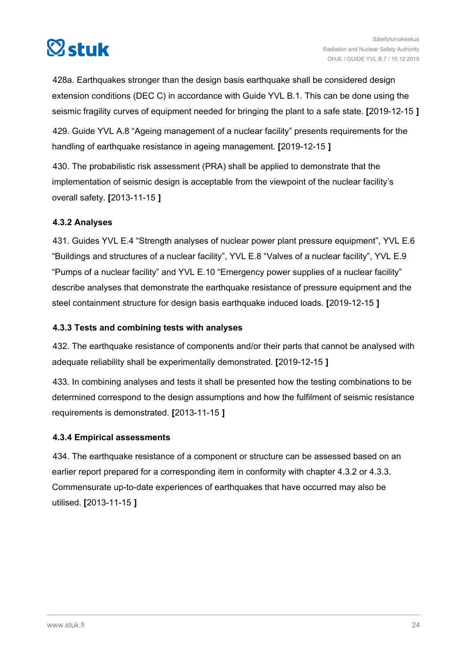<span id="page-23-0"></span>

428a. Earthquakes stronger than the design basis earthquake shall be considered design extension conditions (DEC C) in accordance with Guide YVL B.1. This can be done using the seismic fragility curves of equipment needed for bringing the plant to a safe state. **[**2019-12-15 **]**

429. Guide YVL A.8 "Ageing management of a nuclear facility" presents requirements for the handling of earthquake resistance in ageing management. **[**2019-12-15 **]**

430. The probabilistic risk assessment (PRA) shall be applied to demonstrate that the implementation of seismic design is acceptable from the viewpoint of the nuclear facility's overall safety. **[**2013-11-15 **]**

#### **4.3.2 Analyses**

431. Guides YVL E.4 "Strength analyses of nuclear power plant pressure equipment", YVL E.6 "Buildings and structures of a nuclear facility", YVL E.8 "Valves of a nuclear facility", YVL E.9 "Pumps of a nuclear facility" and YVL E.10 "Emergency power supplies of a nuclear facility" describe analyses that demonstrate the earthquake resistance of pressure equipment and the steel containment structure for design basis earthquake induced loads. **[**2019-12-15 **]**

#### **4.3.3 Tests and combining tests with analyses**

432. The earthquake resistance of components and/or their parts that cannot be analysed with adequate reliability shall be experimentally demonstrated. **[**2019-12-15 **]**

433. In combining analyses and tests it shall be presented how the testing combinations to be determined correspond to the design assumptions and how the fulfilment of seismic resistance requirements is demonstrated. **[**2013-11-15 **]**

#### **4.3.4 Empirical assessments**

434. The earthquake resistance of a component or structure can be assessed based on an earlier report prepared for a corresponding item in conformity with chapter 4.3.2 or 4.3.3. Commensurate up-to-date experiences of earthquakes that have occurred may also be utilised. **[**2013-11-15 **]**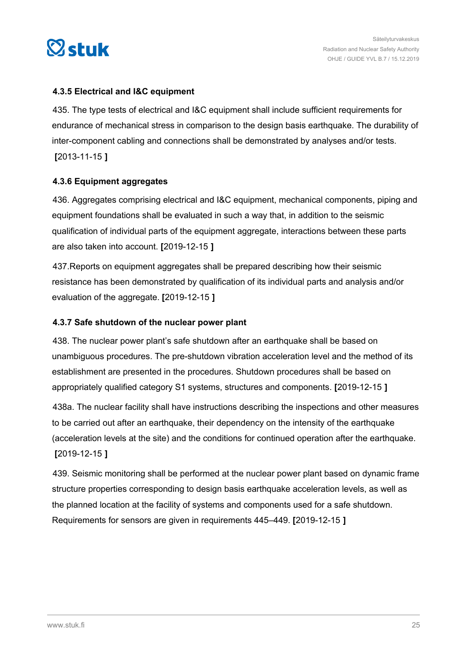<span id="page-24-0"></span>

#### **4.3.5 Electrical and I&C equipment**

435. The type tests of electrical and I&C equipment shall include sufficient requirements for endurance of mechanical stress in comparison to the design basis earthquake. The durability of inter-component cabling and connections shall be demonstrated by analyses and/or tests. **[**2013-11-15 **]**

#### **4.3.6 Equipment aggregates**

436. Aggregates comprising electrical and I&C equipment, mechanical components, piping and equipment foundations shall be evaluated in such a way that, in addition to the seismic qualification of individual parts of the equipment aggregate, interactions between these parts are also taken into account. **[**2019-12-15 **]**

437.Reports on equipment aggregates shall be prepared describing how their seismic resistance has been demonstrated by qualification of its individual parts and analysis and/or evaluation of the aggregate. **[**2019-12-15 **]**

#### **4.3.7 Safe shutdown of the nuclear power plant**

438. The nuclear power plant's safe shutdown after an earthquake shall be based on unambiguous procedures. The pre-shutdown vibration acceleration level and the method of its establishment are presented in the procedures. Shutdown procedures shall be based on appropriately qualified category S1 systems, structures and components. **[**2019-12-15 **]**

438a. The nuclear facility shall have instructions describing the inspections and other measures to be carried out after an earthquake, their dependency on the intensity of the earthquake (acceleration levels at the site) and the conditions for continued operation after the earthquake. **[**2019-12-15 **]**

439. Seismic monitoring shall be performed at the nuclear power plant based on dynamic frame structure properties corresponding to design basis earthquake acceleration levels, as well as the planned location at the facility of systems and components used for a safe shutdown. Requirements for sensors are given in requirements 445–449. **[**2019-12-15 **]**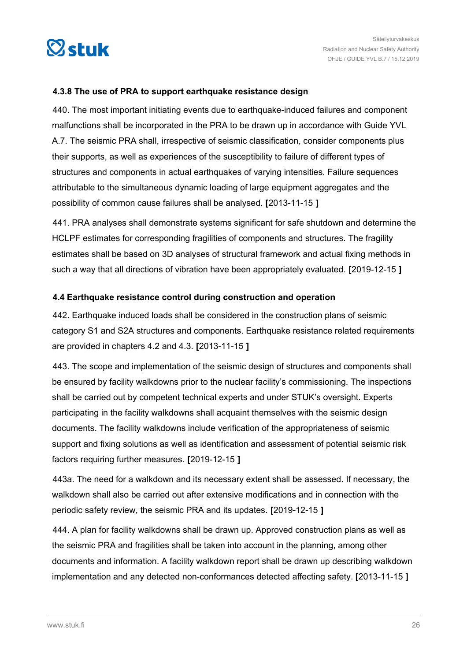<span id="page-25-0"></span>

#### **4.3.8 The use of PRA to support earthquake resistance design**

440. The most important initiating events due to earthquake-induced failures and component malfunctions shall be incorporated in the PRA to be drawn up in accordance with Guide YVL A.7. The seismic PRA shall, irrespective of seismic classification, consider components plus their supports, as well as experiences of the susceptibility to failure of different types of structures and components in actual earthquakes of varying intensities. Failure sequences attributable to the simultaneous dynamic loading of large equipment aggregates and the possibility of common cause failures shall be analysed. **[**2013-11-15 **]**

441. PRA analyses shall demonstrate systems significant for safe shutdown and determine the HCLPF estimates for corresponding fragilities of components and structures. The fragility estimates shall be based on 3D analyses of structural framework and actual fixing methods in such a way that all directions of vibration have been appropriately evaluated. **[**2019-12-15 **]**

#### **4.4 Earthquake resistance control during construction and operation**

442. Earthquake induced loads shall be considered in the construction plans of seismic category S1 and S2A structures and components. Earthquake resistance related requirements are provided in chapters 4.2 and 4.3. **[**2013-11-15 **]**

443. The scope and implementation of the seismic design of structures and components shall be ensured by facility walkdowns prior to the nuclear facility's commissioning. The inspections shall be carried out by competent technical experts and under STUK's oversight. Experts participating in the facility walkdowns shall acquaint themselves with the seismic design documents. The facility walkdowns include verification of the appropriateness of seismic support and fixing solutions as well as identification and assessment of potential seismic risk factors requiring further measures. **[**2019-12-15 **]**

443a. The need for a walkdown and its necessary extent shall be assessed. If necessary, the walkdown shall also be carried out after extensive modifications and in connection with the periodic safety review, the seismic PRA and its updates. **[**2019-12-15 **]**

444. A plan for facility walkdowns shall be drawn up. Approved construction plans as well as the seismic PRA and fragilities shall be taken into account in the planning, among other documents and information. A facility walkdown report shall be drawn up describing walkdown implementation and any detected non-conformances detected affecting safety. **[**2013-11-15 **]**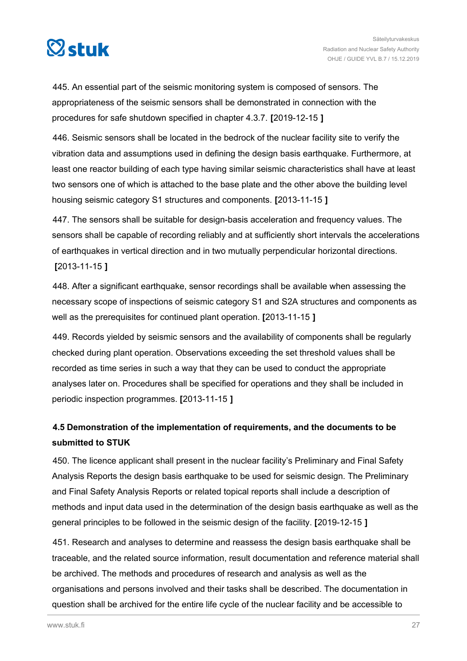<span id="page-26-0"></span>

445. An essential part of the seismic monitoring system is composed of sensors. The appropriateness of the seismic sensors shall be demonstrated in connection with the procedures for safe shutdown specified in chapter 4.3.7. **[**2019-12-15 **]**

446. Seismic sensors shall be located in the bedrock of the nuclear facility site to verify the vibration data and assumptions used in defining the design basis earthquake. Furthermore, at least one reactor building of each type having similar seismic characteristics shall have at least two sensors one of which is attached to the base plate and the other above the building level housing seismic category S1 structures and components. **[**2013-11-15 **]**

447. The sensors shall be suitable for design-basis acceleration and frequency values. The sensors shall be capable of recording reliably and at sufficiently short intervals the accelerations of earthquakes in vertical direction and in two mutually perpendicular horizontal directions. **[**2013-11-15 **]**

448. After a significant earthquake, sensor recordings shall be available when assessing the necessary scope of inspections of seismic category S1 and S2A structures and components as well as the prerequisites for continued plant operation. **[**2013-11-15 **]**

449. Records yielded by seismic sensors and the availability of components shall be regularly checked during plant operation. Observations exceeding the set threshold values shall be recorded as time series in such a way that they can be used to conduct the appropriate analyses later on. Procedures shall be specified for operations and they shall be included in periodic inspection programmes. **[**2013-11-15 **]**

## **4.5 Demonstration of the implementation of requirements, and the documents to be submitted to STUK**

450. The licence applicant shall present in the nuclear facility's Preliminary and Final Safety Analysis Reports the design basis earthquake to be used for seismic design. The Preliminary and Final Safety Analysis Reports or related topical reports shall include a description of methods and input data used in the determination of the design basis earthquake as well as the general principles to be followed in the seismic design of the facility. **[**2019-12-15 **]**

451. Research and analyses to determine and reassess the design basis earthquake shall be traceable, and the related source information, result documentation and reference material shall be archived. The methods and procedures of research and analysis as well as the organisations and persons involved and their tasks shall be described. The documentation in question shall be archived for the entire life cycle of the nuclear facility and be accessible to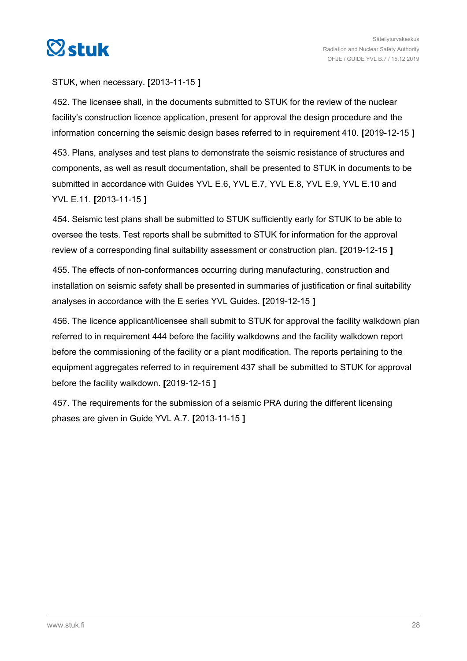

#### STUK, when necessary. **[**2013-11-15 **]**

452. The licensee shall, in the documents submitted to STUK for the review of the nuclear facility's construction licence application, present for approval the design procedure and the information concerning the seismic design bases referred to in requirement 410. **[**2019-12-15 **]**

453. Plans, analyses and test plans to demonstrate the seismic resistance of structures and components, as well as result documentation, shall be presented to STUK in documents to be submitted in accordance with Guides YVL E.6, YVL E.7, YVL E.8, YVL E.9, YVL E.10 and YVL E.11. **[**2013-11-15 **]**

454. Seismic test plans shall be submitted to STUK sufficiently early for STUK to be able to oversee the tests. Test reports shall be submitted to STUK for information for the approval review of a corresponding final suitability assessment or construction plan. **[**2019-12-15 **]**

455. The effects of non-conformances occurring during manufacturing, construction and installation on seismic safety shall be presented in summaries of justification or final suitability analyses in accordance with the E series YVL Guides. **[**2019-12-15 **]**

456. The licence applicant/licensee shall submit to STUK for approval the facility walkdown plan referred to in requirement 444 before the facility walkdowns and the facility walkdown report before the commissioning of the facility or a plant modification. The reports pertaining to the equipment aggregates referred to in requirement 437 shall be submitted to STUK for approval before the facility walkdown. **[**2019-12-15 **]**

457. The requirements for the submission of a seismic PRA during the different licensing phases are given in Guide YVL A.7. **[**2013-11-15 **]**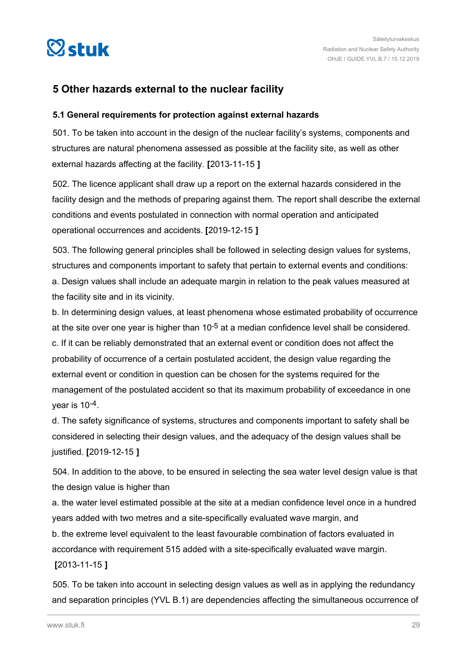<span id="page-28-0"></span>

### **5 Other hazards external to the nuclear facility**

#### **5.1 General requirements for protection against external hazards**

501. To be taken into account in the design of the nuclear facility's systems, components and structures are natural phenomena assessed as possible at the facility site, as well as other external hazards affecting at the facility. **[**2013-11-15 **]**

502. The licence applicant shall draw up a report on the external hazards considered in the facility design and the methods of preparing against them. The report shall describe the external conditions and events postulated in connection with normal operation and anticipated operational occurrences and accidents. **[**2019-12-15 **]**

503. The following general principles shall be followed in selecting design values for systems, structures and components important to safety that pertain to external events and conditions: a. Design values shall include an adequate margin in relation to the peak values measured at the facility site and in its vicinity.

b. In determining design values, at least phenomena whose estimated probability of occurrence at the site over one year is higher than  $10^{-5}$  at a median confidence level shall be considered. c. If it can be reliably demonstrated that an external event or condition does not affect the probability of occurrence of a certain postulated accident, the design value regarding the external event or condition in question can be chosen for the systems required for the management of the postulated accident so that its maximum probability of exceedance in one vear is  $10^{-4}$ .

d. The safety significance of systems, structures and components important to safety shall be considered in selecting their design values, and the adequacy of the design values shall be justified. **[**2019-12-15 **]**

504. In addition to the above, to be ensured in selecting the sea water level design value is that the design value is higher than

a. the water level estimated possible at the site at a median confidence level once in a hundred years added with two metres and a site-specifically evaluated wave margin, and b. the extreme level equivalent to the least favourable combination of factors evaluated in accordance with requirement 515 added with a site-specifically evaluated wave margin.

#### **[**2013-11-15 **]**

505. To be taken into account in selecting design values as well as in applying the redundancy and separation principles (YVL B.1) are dependencies affecting the simultaneous occurrence of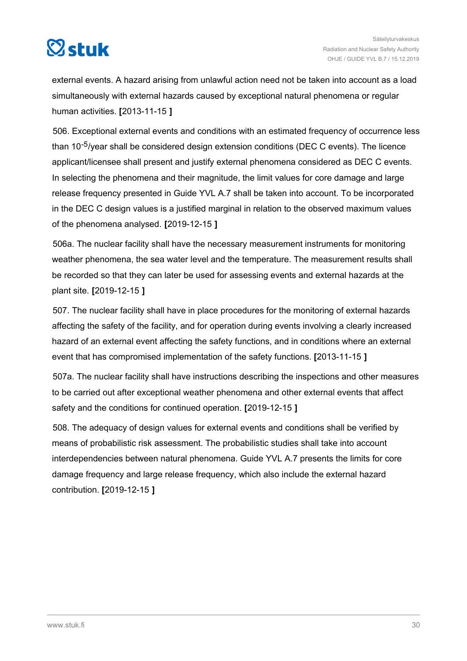

external events. A hazard arising from unlawful action need not be taken into account as a load simultaneously with external hazards caused by exceptional natural phenomena or regular human activities. **[**2013-11-15 **]**

506. Exceptional external events and conditions with an estimated frequency of occurrence less than 10-5/year shall be considered design extension conditions (DEC C events). The licence applicant/licensee shall present and justify external phenomena considered as DEC C events. In selecting the phenomena and their magnitude, the limit values for core damage and large release frequency presented in Guide YVL A.7 shall be taken into account. To be incorporated in the DEC C design values is a justified marginal in relation to the observed maximum values of the phenomena analysed. **[**2019-12-15 **]**

506a. The nuclear facility shall have the necessary measurement instruments for monitoring weather phenomena, the sea water level and the temperature. The measurement results shall be recorded so that they can later be used for assessing events and external hazards at the plant site. **[**2019-12-15 **]**

507. The nuclear facility shall have in place procedures for the monitoring of external hazards affecting the safety of the facility, and for operation during events involving a clearly increased hazard of an external event affecting the safety functions, and in conditions where an external event that has compromised implementation of the safety functions. **[**2013-11-15 **]**

507a. The nuclear facility shall have instructions describing the inspections and other measures to be carried out after exceptional weather phenomena and other external events that affect safety and the conditions for continued operation. **[**2019-12-15 **]**

508. The adequacy of design values for external events and conditions shall be verified by means of probabilistic risk assessment. The probabilistic studies shall take into account interdependencies between natural phenomena. Guide YVL A.7 presents the limits for core damage frequency and large release frequency, which also include the external hazard contribution. **[**2019-12-15 **]**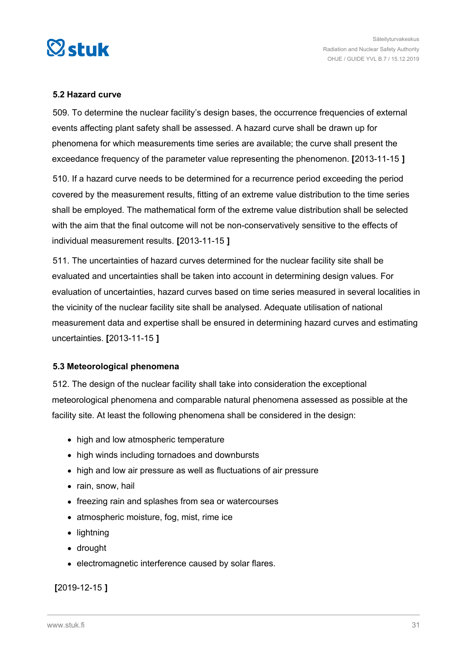<span id="page-30-0"></span>

#### **5.2 Hazard curve**

509. To determine the nuclear facility's design bases, the occurrence frequencies of external events affecting plant safety shall be assessed. A hazard curve shall be drawn up for phenomena for which measurements time series are available; the curve shall present the exceedance frequency of the parameter value representing the phenomenon. **[**2013-11-15 **]**

510. If a hazard curve needs to be determined for a recurrence period exceeding the period covered by the measurement results, fitting of an extreme value distribution to the time series shall be employed. The mathematical form of the extreme value distribution shall be selected with the aim that the final outcome will not be non-conservatively sensitive to the effects of individual measurement results. **[**2013-11-15 **]**

511. The uncertainties of hazard curves determined for the nuclear facility site shall be evaluated and uncertainties shall be taken into account in determining design values. For evaluation of uncertainties, hazard curves based on time series measured in several localities in the vicinity of the nuclear facility site shall be analysed. Adequate utilisation of national measurement data and expertise shall be ensured in determining hazard curves and estimating uncertainties. **[**2013-11-15 **]**

#### **5.3 Meteorological phenomena**

512. The design of the nuclear facility shall take into consideration the exceptional meteorological phenomena and comparable natural phenomena assessed as possible at the facility site. At least the following phenomena shall be considered in the design:

- high and low atmospheric temperature
- high winds including tornadoes and downbursts
- high and low air pressure as well as fluctuations of air pressure
- rain, snow, hail
- freezing rain and splashes from sea or watercourses
- atmospheric moisture, fog, mist, rime ice
- lightning
- drought
- electromagnetic interference caused by solar flares.

#### **[**2019-12-15 **]**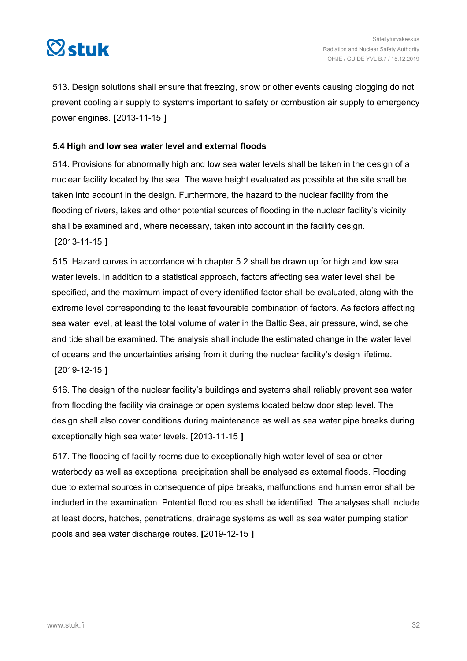<span id="page-31-0"></span>

513. Design solutions shall ensure that freezing, snow or other events causing clogging do not prevent cooling air supply to systems important to safety or combustion air supply to emergency power engines. **[**2013-11-15 **]**

#### **5.4 High and low sea water level and external floods**

514. Provisions for abnormally high and low sea water levels shall be taken in the design of a nuclear facility located by the sea. The wave height evaluated as possible at the site shall be taken into account in the design. Furthermore, the hazard to the nuclear facility from the flooding of rivers, lakes and other potential sources of flooding in the nuclear facility's vicinity shall be examined and, where necessary, taken into account in the facility design.

**[**2013-11-15 **]**

515. Hazard curves in accordance with chapter 5.2 shall be drawn up for high and low sea water levels. In addition to a statistical approach, factors affecting sea water level shall be specified, and the maximum impact of every identified factor shall be evaluated, along with the extreme level corresponding to the least favourable combination of factors. As factors affecting sea water level, at least the total volume of water in the Baltic Sea, air pressure, wind, seiche and tide shall be examined. The analysis shall include the estimated change in the water level of oceans and the uncertainties arising from it during the nuclear facility's design lifetime.

**[**2019-12-15 **]**

516. The design of the nuclear facility's buildings and systems shall reliably prevent sea water from flooding the facility via drainage or open systems located below door step level. The design shall also cover conditions during maintenance as well as sea water pipe breaks during exceptionally high sea water levels. **[**2013-11-15 **]**

517. The flooding of facility rooms due to exceptionally high water level of sea or other waterbody as well as exceptional precipitation shall be analysed as external floods. Flooding due to external sources in consequence of pipe breaks, malfunctions and human error shall be included in the examination. Potential flood routes shall be identified. The analyses shall include at least doors, hatches, penetrations, drainage systems as well as sea water pumping station pools and sea water discharge routes. **[**2019-12-15 **]**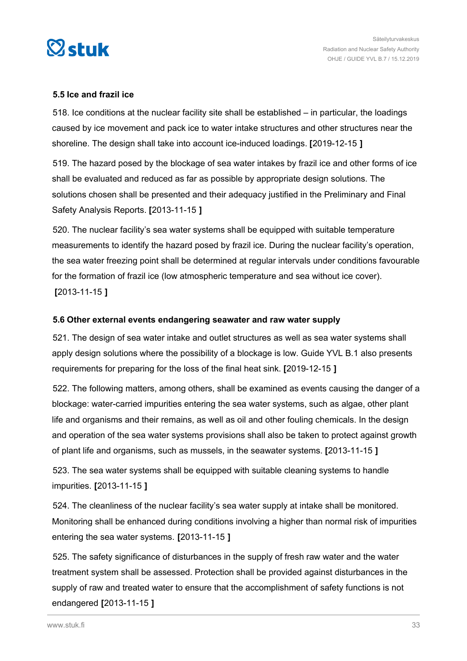<span id="page-32-0"></span>

#### **5.5 Ice and frazil ice**

518. Ice conditions at the nuclear facility site shall be established – in particular, the loadings caused by ice movement and pack ice to water intake structures and other structures near the shoreline. The design shall take into account ice-induced loadings. **[**2019-12-15 **]**

519. The hazard posed by the blockage of sea water intakes by frazil ice and other forms of ice shall be evaluated and reduced as far as possible by appropriate design solutions. The solutions chosen shall be presented and their adequacy justified in the Preliminary and Final Safety Analysis Reports. **[**2013-11-15 **]**

520. The nuclear facility's sea water systems shall be equipped with suitable temperature measurements to identify the hazard posed by frazil ice. During the nuclear facility's operation, the sea water freezing point shall be determined at regular intervals under conditions favourable for the formation of frazil ice (low atmospheric temperature and sea without ice cover). **[**2013-11-15 **]**

#### **5.6 Other external events endangering seawater and raw water supply**

521. The design of sea water intake and outlet structures as well as sea water systems shall apply design solutions where the possibility of a blockage is low. Guide YVL B.1 also presents requirements for preparing for the loss of the final heat sink. **[**2019-12-15 **]**

522. The following matters, among others, shall be examined as events causing the danger of a blockage: water-carried impurities entering the sea water systems, such as algae, other plant life and organisms and their remains, as well as oil and other fouling chemicals. In the design and operation of the sea water systems provisions shall also be taken to protect against growth of plant life and organisms, such as mussels, in the seawater systems. **[**2013-11-15 **]**

523. The sea water systems shall be equipped with suitable cleaning systems to handle impurities. **[**2013-11-15 **]**

524. The cleanliness of the nuclear facility's sea water supply at intake shall be monitored. Monitoring shall be enhanced during conditions involving a higher than normal risk of impurities entering the sea water systems. **[**2013-11-15 **]**

525. The safety significance of disturbances in the supply of fresh raw water and the water treatment system shall be assessed. Protection shall be provided against disturbances in the supply of raw and treated water to ensure that the accomplishment of safety functions is not endangered **[**2013-11-15 **]**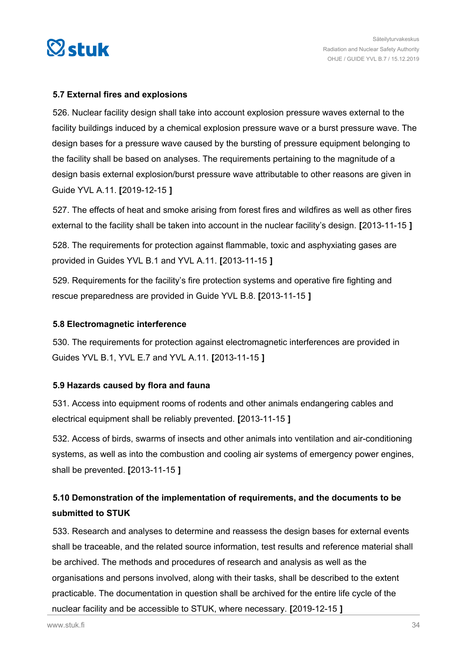<span id="page-33-0"></span>

#### **5.7 External fires and explosions**

526. Nuclear facility design shall take into account explosion pressure waves external to the facility buildings induced by a chemical explosion pressure wave or a burst pressure wave. The design bases for a pressure wave caused by the bursting of pressure equipment belonging to the facility shall be based on analyses. The requirements pertaining to the magnitude of a design basis external explosion/burst pressure wave attributable to other reasons are given in Guide YVL A.11. **[**2019-12-15 **]**

527. The effects of heat and smoke arising from forest fires and wildfires as well as other fires external to the facility shall be taken into account in the nuclear facility's design. **[**2013-11-15 **]**

528. The requirements for protection against flammable, toxic and asphyxiating gases are provided in Guides YVL B.1 and YVL A.11. **[**2013-11-15 **]**

529. Requirements for the facility's fire protection systems and operative fire fighting and rescue preparedness are provided in Guide YVL B.8. **[**2013-11-15 **]**

#### **5.8 Electromagnetic interference**

530. The requirements for protection against electromagnetic interferences are provided in Guides YVL B.1, YVL E.7 and YVL A.11. **[**2013-11-15 **]**

#### **5.9 Hazards caused by flora and fauna**

531. Access into equipment rooms of rodents and other animals endangering cables and electrical equipment shall be reliably prevented. **[**2013-11-15 **]**

532. Access of birds, swarms of insects and other animals into ventilation and air-conditioning systems, as well as into the combustion and cooling air systems of emergency power engines, shall be prevented. **[**2013-11-15 **]**

## **5.10 Demonstration of the implementation of requirements, and the documents to be submitted to STUK**

533. Research and analyses to determine and reassess the design bases for external events shall be traceable, and the related source information, test results and reference material shall be archived. The methods and procedures of research and analysis as well as the organisations and persons involved, along with their tasks, shall be described to the extent practicable. The documentation in question shall be archived for the entire life cycle of the nuclear facility and be accessible to STUK, where necessary. **[**2019-12-15 **]**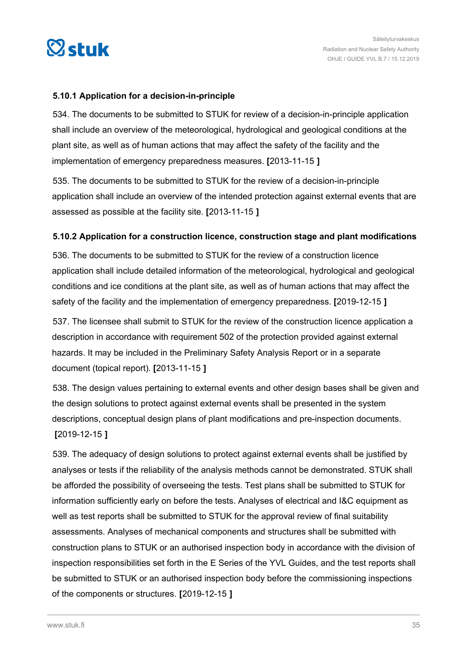<span id="page-34-0"></span>

#### **5.10.1 Application for a decision-in-principle**

534. The documents to be submitted to STUK for review of a decision-in-principle application shall include an overview of the meteorological, hydrological and geological conditions at the plant site, as well as of human actions that may affect the safety of the facility and the implementation of emergency preparedness measures. **[**2013-11-15 **]**

535. The documents to be submitted to STUK for the review of a decision-in-principle application shall include an overview of the intended protection against external events that are assessed as possible at the facility site. **[**2013-11-15 **]**

#### **5.10.2 Application for a construction licence, construction stage and plant modifications**

536. The documents to be submitted to STUK for the review of a construction licence application shall include detailed information of the meteorological, hydrological and geological conditions and ice conditions at the plant site, as well as of human actions that may affect the safety of the facility and the implementation of emergency preparedness. **[**2019-12-15 **]**

537. The licensee shall submit to STUK for the review of the construction licence application a description in accordance with requirement 502 of the protection provided against external hazards. It may be included in the Preliminary Safety Analysis Report or in a separate document (topical report). **[**2013-11-15 **]**

538. The design values pertaining to external events and other design bases shall be given and the design solutions to protect against external events shall be presented in the system descriptions, conceptual design plans of plant modifications and pre-inspection documents. **[**2019-12-15 **]**

539. The adequacy of design solutions to protect against external events shall be justified by analyses or tests if the reliability of the analysis methods cannot be demonstrated. STUK shall be afforded the possibility of overseeing the tests. Test plans shall be submitted to STUK for information sufficiently early on before the tests. Analyses of electrical and I&C equipment as well as test reports shall be submitted to STUK for the approval review of final suitability assessments. Analyses of mechanical components and structures shall be submitted with construction plans to STUK or an authorised inspection body in accordance with the division of inspection responsibilities set forth in the E Series of the YVL Guides, and the test reports shall be submitted to STUK or an authorised inspection body before the commissioning inspections of the components or structures. **[**2019-12-15 **]**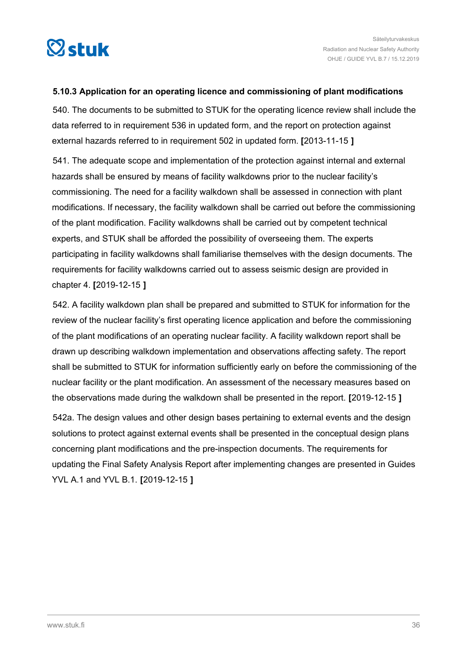<span id="page-35-0"></span>

#### **5.10.3 Application for an operating licence and commissioning of plant modifications**

540. The documents to be submitted to STUK for the operating licence review shall include the data referred to in requirement 536 in updated form, and the report on protection against external hazards referred to in requirement 502 in updated form. **[**2013-11-15 **]**

541. The adequate scope and implementation of the protection against internal and external hazards shall be ensured by means of facility walkdowns prior to the nuclear facility's commissioning. The need for a facility walkdown shall be assessed in connection with plant modifications. If necessary, the facility walkdown shall be carried out before the commissioning of the plant modification. Facility walkdowns shall be carried out by competent technical experts, and STUK shall be afforded the possibility of overseeing them. The experts participating in facility walkdowns shall familiarise themselves with the design documents. The requirements for facility walkdowns carried out to assess seismic design are provided in chapter 4. **[**2019-12-15 **]**

542. A facility walkdown plan shall be prepared and submitted to STUK for information for the review of the nuclear facility's first operating licence application and before the commissioning of the plant modifications of an operating nuclear facility. A facility walkdown report shall be drawn up describing walkdown implementation and observations affecting safety. The report shall be submitted to STUK for information sufficiently early on before the commissioning of the nuclear facility or the plant modification. An assessment of the necessary measures based on the observations made during the walkdown shall be presented in the report. **[**2019-12-15 **]**

542a. The design values and other design bases pertaining to external events and the design solutions to protect against external events shall be presented in the conceptual design plans concerning plant modifications and the pre-inspection documents. The requirements for updating the Final Safety Analysis Report after implementing changes are presented in Guides YVL A.1 and YVL B.1. **[**2019-12-15 **]**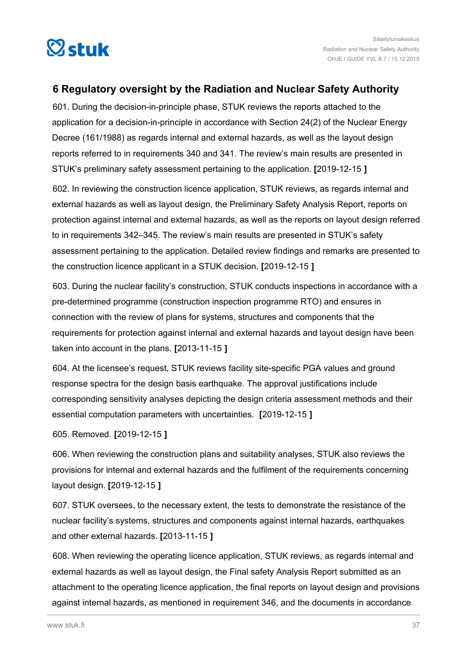<span id="page-36-0"></span>

## **6 Regulatory oversight by the Radiation and Nuclear Safety Authority**

601. During the decision-in-principle phase, STUK reviews the reports attached to the application for a decision-in-principle in accordance with Section 24(2) of the Nuclear Energy Decree (161/1988) as regards internal and external hazards, as well as the layout design reports referred to in requirements 340 and 341. The review's main results are presented in STUK's preliminary safety assessment pertaining to the application. **[**2019-12-15 **]**

602. In reviewing the construction licence application, STUK reviews, as regards internal and external hazards as well as layout design, the Preliminary Safety Analysis Report, reports on protection against internal and external hazards, as well as the reports on layout design referred to in requirements 342–345. The review's main results are presented in STUK's safety assessment pertaining to the application. Detailed review findings and remarks are presented to the construction licence applicant in a STUK decision. **[**2019-12-15 **]**

603. During the nuclear facility's construction, STUK conducts inspections in accordance with a pre-determined programme (construction inspection programme RTO) and ensures in connection with the review of plans for systems, structures and components that the requirements for protection against internal and external hazards and layout design have been taken into account in the plans. **[**2013-11-15 **]**

604. At the licensee's request, STUK reviews facility site-specific PGA values and ground response spectra for the design basis earthquake. The approval justifications include corresponding sensitivity analyses depicting the design criteria assessment methods and their essential computation parameters with uncertainties. **[**2019-12-15 **]**

605. Removed. **[**2019-12-15 **]**

606. When reviewing the construction plans and suitability analyses, STUK also reviews the provisions for internal and external hazards and the fulfilment of the requirements concerning layout design. **[**2019-12-15 **]**

607. STUK oversees, to the necessary extent, the tests to demonstrate the resistance of the nuclear facility's systems, structures and components against internal hazards, earthquakes and other external hazards. **[**2013-11-15 **]**

608. When reviewing the operating licence application, STUK reviews, as regards internal and external hazards as well as layout design, the Final safety Analysis Report submitted as an attachment to the operating licence application, the final reports on layout design and provisions against internal hazards, as mentioned in requirement 346, and the documents in accordance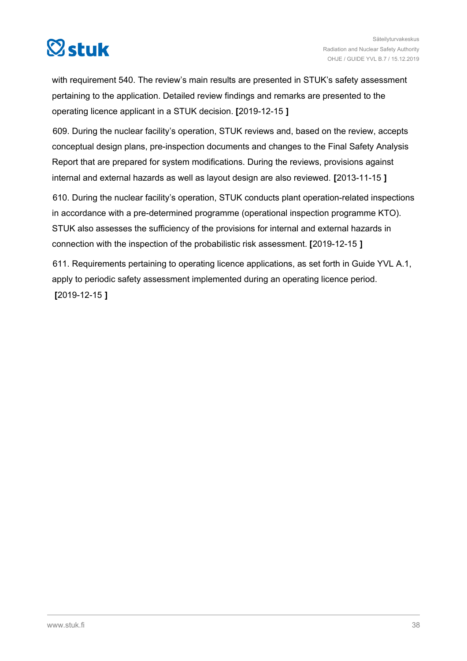

with requirement 540. The review's main results are presented in STUK's safety assessment pertaining to the application. Detailed review findings and remarks are presented to the operating licence applicant in a STUK decision. **[**2019-12-15 **]**

609. During the nuclear facility's operation, STUK reviews and, based on the review, accepts conceptual design plans, pre-inspection documents and changes to the Final Safety Analysis Report that are prepared for system modifications. During the reviews, provisions against internal and external hazards as well as layout design are also reviewed. **[**2013-11-15 **]**

610. During the nuclear facility's operation, STUK conducts plant operation-related inspections in accordance with a pre-determined programme (operational inspection programme KTO). STUK also assesses the sufficiency of the provisions for internal and external hazards in connection with the inspection of the probabilistic risk assessment. **[**2019-12-15 **]**

611. Requirements pertaining to operating licence applications, as set forth in Guide YVL A.1, apply to periodic safety assessment implemented during an operating licence period. **[**2019-12-15 **]**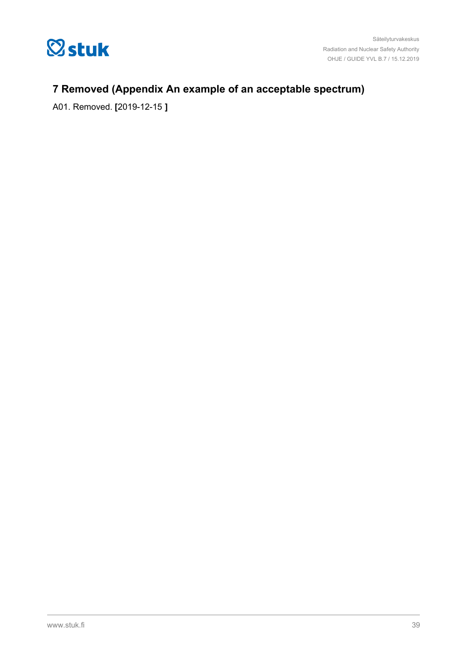<span id="page-38-0"></span>

## **7 Removed (Appendix An example of an acceptable spectrum)**

A01. Removed. **[**2019-12-15 **]**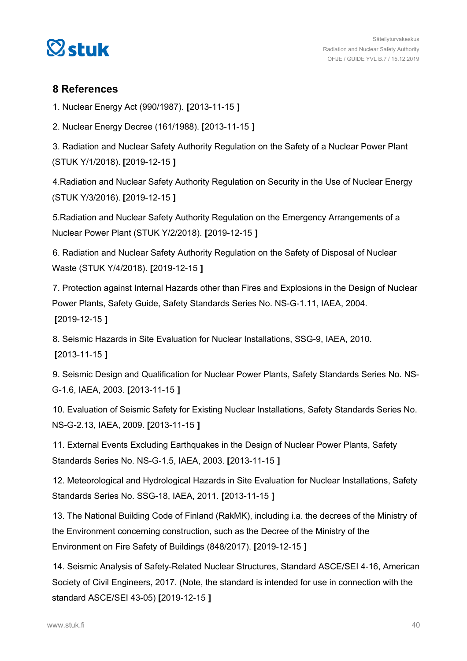<span id="page-39-0"></span>

### **8 References**

1. Nuclear Energy Act (990/1987). **[**2013-11-15 **]**

2. Nuclear Energy Decree (161/1988). **[**2013-11-15 **]**

3. Radiation and Nuclear Safety Authority Regulation on the Safety of a Nuclear Power Plant (STUK Y/1/2018). **[**2019-12-15 **]**

4.Radiation and Nuclear Safety Authority Regulation on Security in the Use of Nuclear Energy (STUK Y/3/2016). **[**2019-12-15 **]**

5.Radiation and Nuclear Safety Authority Regulation on the Emergency Arrangements of a Nuclear Power Plant (STUK Y/2/2018). **[**2019-12-15 **]**

6. Radiation and Nuclear Safety Authority Regulation on the Safety of Disposal of Nuclear Waste (STUK Y/4/2018). **[**2019-12-15 **]**

7. Protection against Internal Hazards other than Fires and Explosions in the Design of Nuclear Power Plants, Safety Guide, Safety Standards Series No. [NS-G-1.11](https://NS-G-1.11), IAEA, 2004. **[**2019-12-15 **]**

8. Seismic Hazards in Site Evaluation for Nuclear Installations, SSG-9, IAEA, 2010. **[**2013-11-15 **]**

9. Seismic Design and Qualification for Nuclear Power Plants, Safety Standards Series No. NS-G-1.6, IAEA, 2003. **[**2013-11-15 **]**

10. Evaluation of Seismic Safety for Existing Nuclear Installations, Safety Standards Series No. [NS-G-2.13](https://NS-G-2.13), IAEA, 2009. **[**2013-11-15 **]**

11. External Events Excluding Earthquakes in the Design of Nuclear Power Plants, Safety Standards Series No. NS-G-1.5, IAEA, 2003. **[**2013-11-15 **]**

12. Meteorological and Hydrological Hazards in Site Evaluation for Nuclear Installations, Safety Standards Series No. SSG-18, IAEA, 2011. **[**2013-11-15 **]**

13. The National Building Code of Finland (RakMK), including i.a. the decrees of the Ministry of the Environment concerning construction, such as the Decree of the Ministry of the Environment on Fire Safety of Buildings (848/2017). **[**2019-12-15 **]**

14. Seismic Analysis of Safety-Related Nuclear Structures, Standard ASCE/SEI 4-16, American Society of Civil Engineers, 2017. (Note, the standard is intended for use in connection with the standard ASCE/SEI 43-05) **[**2019-12-15 **]**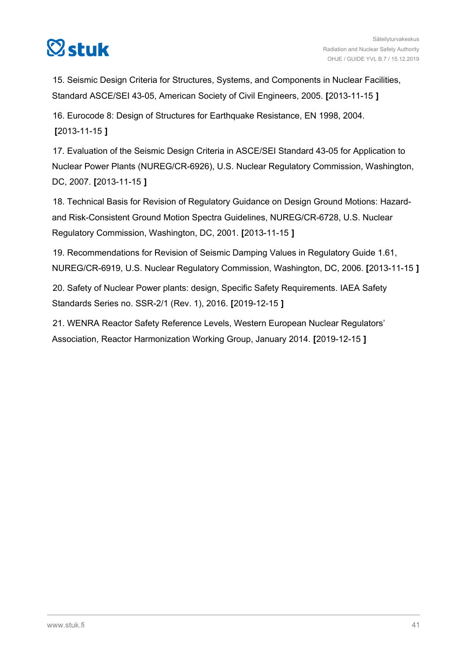

15. Seismic Design Criteria for Structures, Systems, and Components in Nuclear Facilities, Standard ASCE/SEI 43-05, American Society of Civil Engineers, 2005. **[**2013-11-15 **]**

16. Eurocode 8: Design of Structures for Earthquake Resistance, EN 1998, 2004. **[**2013-11-15 **]**

17. Evaluation of the Seismic Design Criteria in ASCE/SEI Standard 43-05 for Application to Nuclear Power Plants (NUREG/CR-6926), U.S. Nuclear Regulatory Commission, Washington, DC, 2007. **[**2013-11-15 **]**

18. Technical Basis for Revision of Regulatory Guidance on Design Ground Motions: Hazardand Risk-Consistent Ground Motion Spectra Guidelines, NUREG/CR-6728, U.S. Nuclear Regulatory Commission, Washington, DC, 2001. **[**2013-11-15 **]**

19. Recommendations for Revision of Seismic Damping Values in Regulatory Guide 1.61, NUREG/CR-6919, U.S. Nuclear Regulatory Commission, Washington, DC, 2006. **[**2013-11-15 **]**

20. Safety of Nuclear Power plants: design, Specific Safety Requirements. IAEA Safety Standards Series no. SSR-2/1 (Rev. 1), 2016. **[**2019-12-15 **]**

21. WENRA Reactor Safety Reference Levels, Western European Nuclear Regulators' Association, Reactor Harmonization Working Group, January 2014. **[**2019-12-15 **]**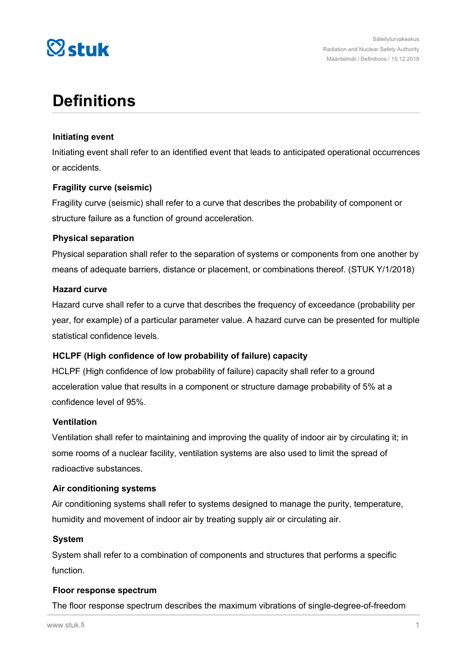

## **Definitions**

#### **Initiating event**

Initiating event shall refer to an identified event that leads to anticipated operational occurrences or accidents.

#### **Fragility curve (seismic)**

Fragility curve (seismic) shall refer to a curve that describes the probability of component or structure failure as a function of ground acceleration.

#### **Physical separation**

Physical separation shall refer to the separation of systems or components from one another by means of adequate barriers, distance or placement, or combinations thereof. (STUK Y/1/2018)

#### **Hazard curve**

Hazard curve shall refer to a curve that describes the frequency of exceedance (probability per year, for example) of a particular parameter value. A hazard curve can be presented for multiple statistical confidence levels.

#### **HCLPF (High confidence of low probability of failure) capacity**

HCLPF (High confidence of low probability of failure) capacity shall refer to a ground acceleration value that results in a component or structure damage probability of 5% at a confidence level of 95%.

#### **Ventilation**

Ventilation shall refer to maintaining and improving the quality of indoor air by circulating it; in some rooms of a nuclear facility, ventilation systems are also used to limit the spread of radioactive substances.

#### **Air conditioning systems**

Air conditioning systems shall refer to systems designed to manage the purity, temperature, humidity and movement of indoor air by treating supply air or circulating air.

#### **System**

System shall refer to a combination of components and structures that performs a specific function.

#### **Floor response spectrum**

The floor response spectrum describes the maximum vibrations of single-degree-of-freedom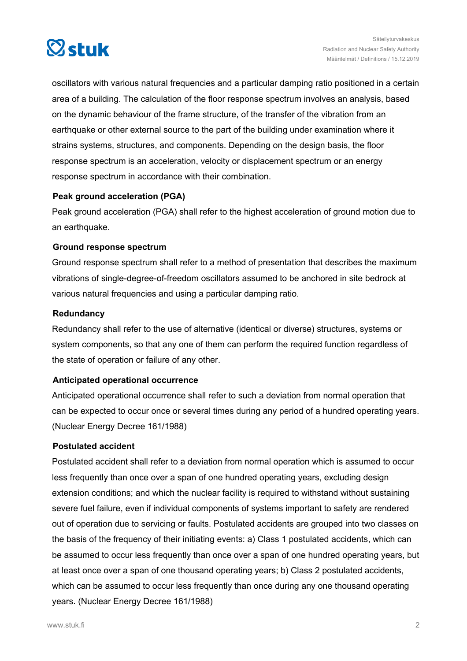

oscillators with various natural frequencies and a particular damping ratio positioned in a certain area of a building. The calculation of the floor response spectrum involves an analysis, based on the dynamic behaviour of the frame structure, of the transfer of the vibration from an earthquake or other external source to the part of the building under examination where it strains systems, structures, and components. Depending on the design basis, the floor response spectrum is an acceleration, velocity or displacement spectrum or an energy response spectrum in accordance with their combination.

#### **Peak ground acceleration (PGA)**

Peak ground acceleration (PGA) shall refer to the highest acceleration of ground motion due to an earthquake.

#### **Ground response spectrum**

Ground response spectrum shall refer to a method of presentation that describes the maximum vibrations of single-degree-of-freedom oscillators assumed to be anchored in site bedrock at various natural frequencies and using a particular damping ratio.

#### **Redundancy**

Redundancy shall refer to the use of alternative (identical or diverse) structures, systems or system components, so that any one of them can perform the required function regardless of the state of operation or failure of any other.

#### **Anticipated operational occurrence**

Anticipated operational occurrence shall refer to such a deviation from normal operation that can be expected to occur once or several times during any period of a hundred operating years. (Nuclear Energy Decree 161/1988)

#### **Postulated accident**

Postulated accident shall refer to a deviation from normal operation which is assumed to occur less frequently than once over a span of one hundred operating years, excluding design extension conditions; and which the nuclear facility is required to withstand without sustaining severe fuel failure, even if individual components of systems important to safety are rendered out of operation due to servicing or faults. Postulated accidents are grouped into two classes on the basis of the frequency of their initiating events: a) Class 1 postulated accidents, which can be assumed to occur less frequently than once over a span of one hundred operating years, but at least once over a span of one thousand operating years; b) Class 2 postulated accidents, which can be assumed to occur less frequently than once during any one thousand operating years. (Nuclear Energy Decree 161/1988)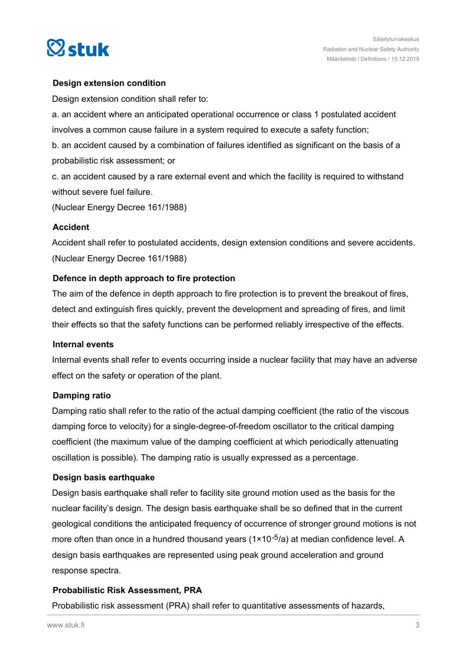

#### **Design extension condition**

Design extension condition shall refer to:

a. an accident where an anticipated operational occurrence or class 1 postulated accident involves a common cause failure in a system required to execute a safety function;

b. an accident caused by a combination of failures identified as significant on the basis of a probabilistic risk assessment; or

c. an accident caused by a rare external event and which the facility is required to withstand without severe fuel failure.

(Nuclear Energy Decree 161/1988)

#### **Accident**

Accident shall refer to postulated accidents, design extension conditions and severe accidents. (Nuclear Energy Decree 161/1988)

#### **Defence in depth approach to fire protection**

The aim of the defence in depth approach to fire protection is to prevent the breakout of fires, detect and extinguish fires quickly, prevent the development and spreading of fires, and limit their effects so that the safety functions can be performed reliably irrespective of the effects.

#### **Internal events**

Internal events shall refer to events occurring inside a nuclear facility that may have an adverse effect on the safety or operation of the plant.

#### **Damping ratio**

Damping ratio shall refer to the ratio of the actual damping coefficient (the ratio of the viscous damping force to velocity) for a single-degree-of-freedom oscillator to the critical damping coefficient (the maximum value of the damping coefficient at which periodically attenuating oscillation is possible). The damping ratio is usually expressed as a percentage.

#### **Design basis earthquake**

Design basis earthquake shall refer to facility site ground motion used as the basis for the nuclear facility's design. The design basis earthquake shall be so defined that in the current geological conditions the anticipated frequency of occurrence of stronger ground motions is not more often than once in a hundred thousand years  $(1 \times 10^{-5}/a)$  at median confidence level. A design basis earthquakes are represented using peak ground acceleration and ground response spectra.

#### **Probabilistic Risk Assessment, PRA**

Probabilistic risk assessment (PRA) shall refer to quantitative assessments of hazards,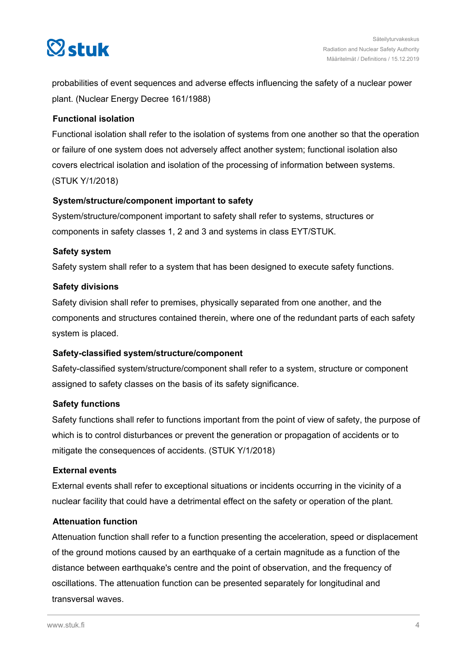# $\heartsuit$ stuk

probabilities of event sequences and adverse effects influencing the safety of a nuclear power plant. (Nuclear Energy Decree 161/1988)

#### **Functional isolation**

Functional isolation shall refer to the isolation of systems from one another so that the operation or failure of one system does not adversely affect another system; functional isolation also covers electrical isolation and isolation of the processing of information between systems. (STUK Y/1/2018)

#### **System/structure/component important to safety**

System/structure/component important to safety shall refer to systems, structures or components in safety classes 1, 2 and 3 and systems in class EYT/STUK.

#### **Safety system**

Safety system shall refer to a system that has been designed to execute safety functions.

#### **Safety divisions**

Safety division shall refer to premises, physically separated from one another, and the components and structures contained therein, where one of the redundant parts of each safety system is placed.

#### **Safety-classified system/structure/component**

Safety-classified system/structure/component shall refer to a system, structure or component assigned to safety classes on the basis of its safety significance.

#### **Safety functions**

Safety functions shall refer to functions important from the point of view of safety, the purpose of which is to control disturbances or prevent the generation or propagation of accidents or to mitigate the consequences of accidents. (STUK Y/1/2018)

#### **External events**

External events shall refer to exceptional situations or incidents occurring in the vicinity of a nuclear facility that could have a detrimental effect on the safety or operation of the plant.

#### **Attenuation function**

Attenuation function shall refer to a function presenting the acceleration, speed or displacement of the ground motions caused by an earthquake of a certain magnitude as a function of the distance between earthquake's centre and the point of observation, and the frequency of oscillations. The attenuation function can be presented separately for longitudinal and transversal waves.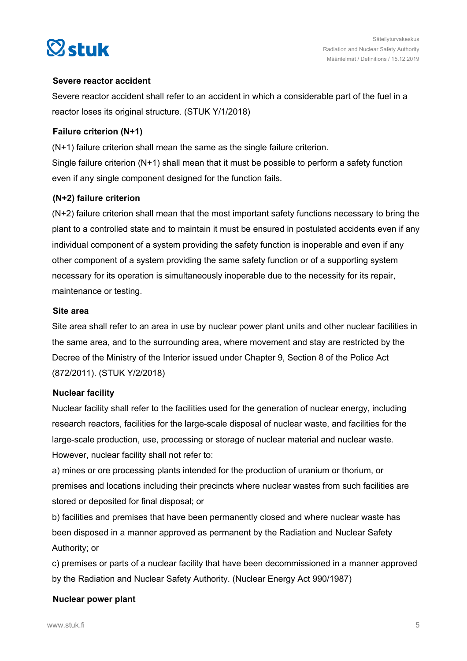

#### **Severe reactor accident**

Severe reactor accident shall refer to an accident in which a considerable part of the fuel in a reactor loses its original structure. (STUK Y/1/2018)

#### **Failure criterion (N+1)**

(N+1) failure criterion shall mean the same as the single failure criterion. Single failure criterion  $(N+1)$  shall mean that it must be possible to perform a safety function even if any single component designed for the function fails.

#### **(N+2) failure criterion**

(N+2) failure criterion shall mean that the most important safety functions necessary to bring the plant to a controlled state and to maintain it must be ensured in postulated accidents even if any individual component of a system providing the safety function is inoperable and even if any other component of a system providing the same safety function or of a supporting system necessary for its operation is simultaneously inoperable due to the necessity for its repair, maintenance or testing.

#### **Site area**

Site area shall refer to an area in use by nuclear power plant units and other nuclear facilities in the same area, and to the surrounding area, where movement and stay are restricted by the Decree of the Ministry of the Interior issued under Chapter 9, Section 8 of the Police Act (872/2011). (STUK Y/2/2018)

#### **Nuclear facility**

Nuclear facility shall refer to the facilities used for the generation of nuclear energy, including research reactors, facilities for the large-scale disposal of nuclear waste, and facilities for the large-scale production, use, processing or storage of nuclear material and nuclear waste. However, nuclear facility shall not refer to:

a) mines or ore processing plants intended for the production of uranium or thorium, or premises and locations including their precincts where nuclear wastes from such facilities are stored or deposited for final disposal; or

b) facilities and premises that have been permanently closed and where nuclear waste has been disposed in a manner approved as permanent by the Radiation and Nuclear Safety Authority; or

c) premises or parts of a nuclear facility that have been decommissioned in a manner approved by the Radiation and Nuclear Safety Authority. (Nuclear Energy Act 990/1987)

#### **Nuclear power plant**